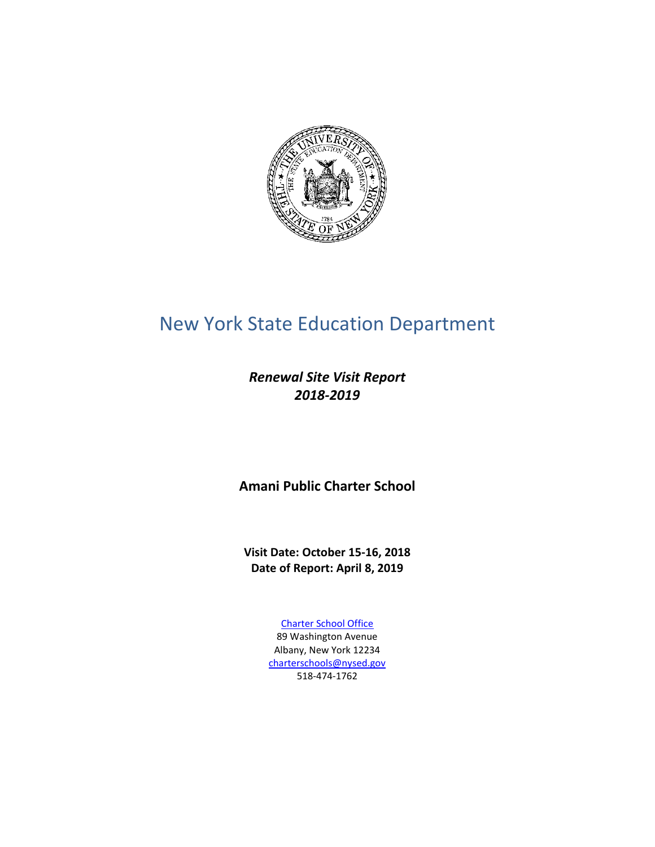

# New York State Education Department

*Renewal Site Visit Report 2018-2019*

**Amani Public Charter School**

**Visit Date: October 15-16, 2018 Date of Report: April 8, 2019**

> [Charter School Office](http://www.p12.nysed.gov/psc/) 89 Washington Avenue Albany, New York 12234 [charterschools@nysed.gov](mailto:charterschools@nysed.gov) 518‐474‐1762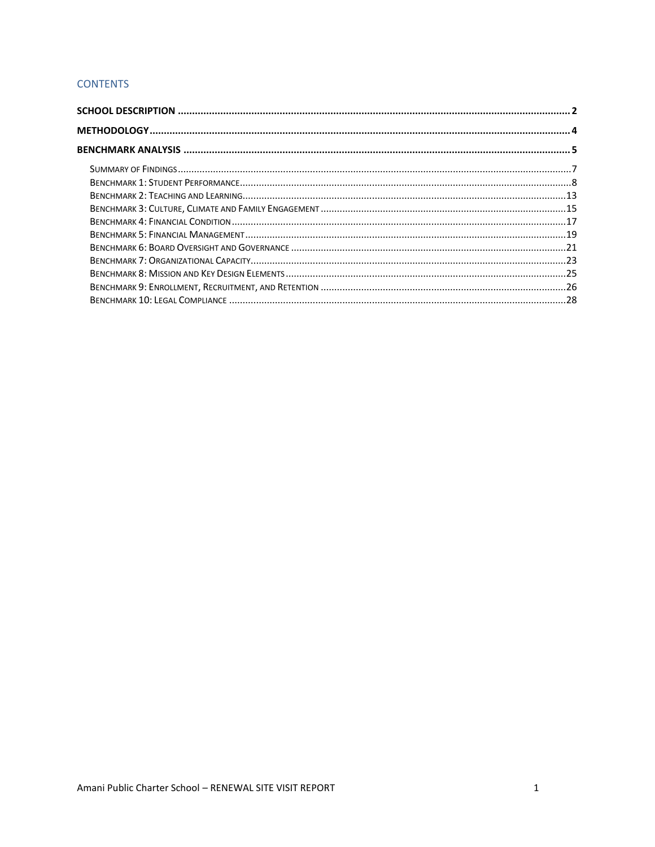# **CONTENTS**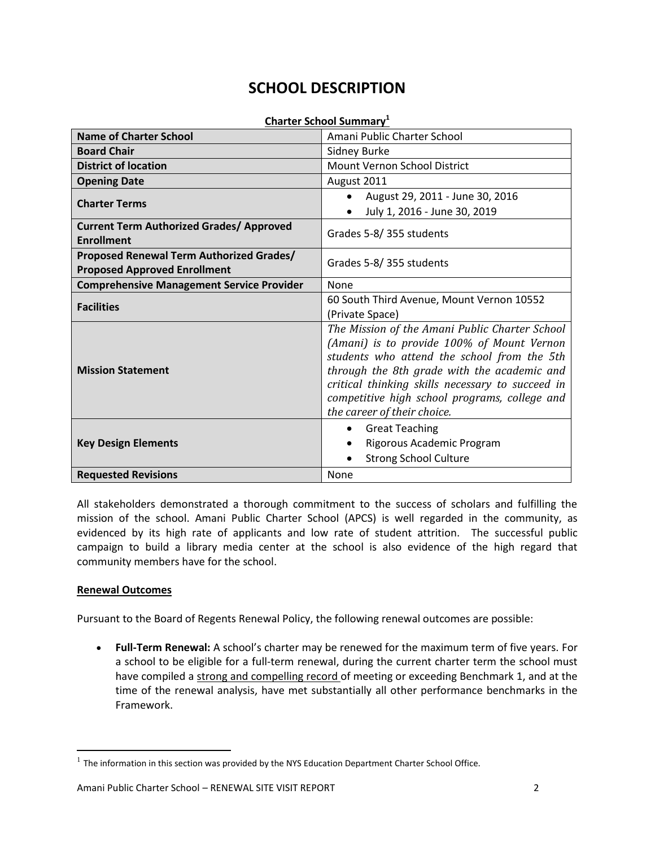# **SCHOOL DESCRIPTION**

# **Charter School Summary<sup>1</sup>**

<span id="page-2-0"></span>

| <b>Name of Charter School</b>                    | Amani Public Charter School                      |
|--------------------------------------------------|--------------------------------------------------|
| <b>Board Chair</b>                               | Sidney Burke                                     |
| <b>District of location</b>                      | Mount Vernon School District                     |
| <b>Opening Date</b>                              | August 2011                                      |
| <b>Charter Terms</b>                             | August 29, 2011 - June 30, 2016<br>$\bullet$     |
|                                                  | July 1, 2016 - June 30, 2019                     |
| <b>Current Term Authorized Grades/ Approved</b>  | Grades 5-8/355 students                          |
| <b>Enrollment</b>                                |                                                  |
| Proposed Renewal Term Authorized Grades/         | Grades 5-8/355 students                          |
| <b>Proposed Approved Enrollment</b>              |                                                  |
| <b>Comprehensive Management Service Provider</b> | None                                             |
| <b>Facilities</b>                                | 60 South Third Avenue, Mount Vernon 10552        |
|                                                  | (Private Space)                                  |
|                                                  | The Mission of the Amani Public Charter School   |
|                                                  | (Amani) is to provide 100% of Mount Vernon       |
|                                                  | students who attend the school from the 5th      |
| <b>Mission Statement</b>                         | through the 8th grade with the academic and      |
|                                                  | critical thinking skills necessary to succeed in |
|                                                  | competitive high school programs, college and    |
|                                                  | the career of their choice.                      |
|                                                  | <b>Great Teaching</b><br>$\bullet$               |
| <b>Key Design Elements</b>                       | Rigorous Academic Program                        |
|                                                  | <b>Strong School Culture</b>                     |
| <b>Requested Revisions</b>                       | None                                             |

All stakeholders demonstrated a thorough commitment to the success of scholars and fulfilling the mission of the school. Amani Public Charter School (APCS) is well regarded in the community, as evidenced by its high rate of applicants and low rate of student attrition. The successful public campaign to build a library media center at the school is also evidence of the high regard that community members have for the school.

# **Renewal Outcomes**

 $\overline{a}$ 

Pursuant to the Board of Regents Renewal Policy, the following renewal outcomes are possible:

 **Full-Term Renewal:** A school's charter may be renewed for the maximum term of five years. For a school to be eligible for a full-term renewal, during the current charter term the school must have compiled a strong and compelling record of meeting or exceeding Benchmark 1, and at the time of the renewal analysis, have met substantially all other performance benchmarks in the Framework.

 $<sup>1</sup>$  The information in this section was provided by the NYS Education Department Charter School Office.</sup>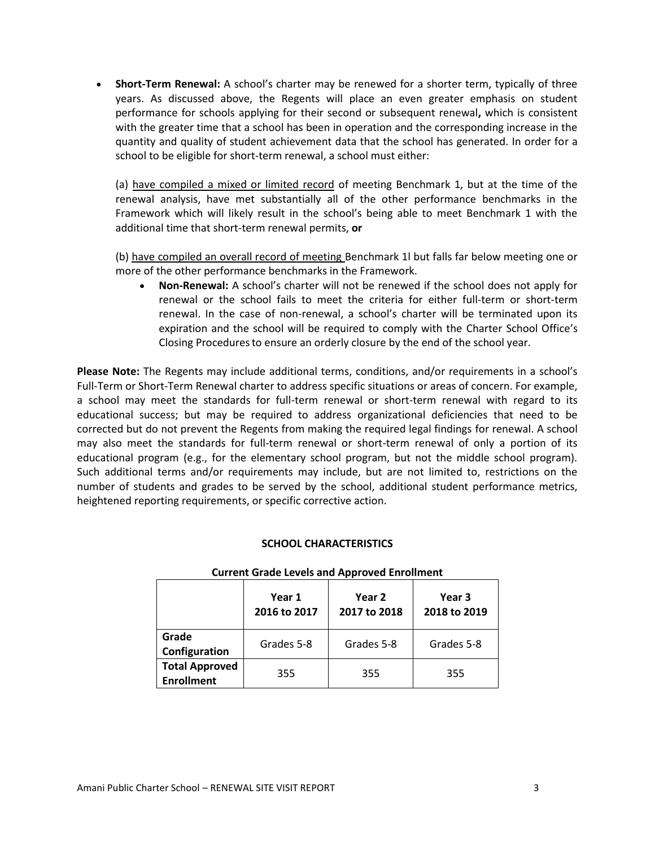**Short-Term Renewal:** A school's charter may be renewed for a shorter term, typically of three years. As discussed above, the Regents will place an even greater emphasis on student performance for schools applying for their second or subsequent renewal**,** which is consistent with the greater time that a school has been in operation and the corresponding increase in the quantity and quality of student achievement data that the school has generated. In order for a school to be eligible for short-term renewal, a school must either:

(a) have compiled a mixed or limited record of meeting Benchmark 1, but at the time of the renewal analysis, have met substantially all of the other performance benchmarks in the Framework which will likely result in the school's being able to meet Benchmark 1 with the additional time that short-term renewal permits, **or**

(b) have compiled an overall record of meeting Benchmark 1l but falls far below meeting one or more of the other performance benchmarks in the Framework.

 **Non-Renewal:** A school's charter will not be renewed if the school does not apply for renewal or the school fails to meet the criteria for either full-term or short-term renewal. In the case of non-renewal, a school's charter will be terminated upon its expiration and the school will be required to comply with the Charter School Office's Closing Proceduresto ensure an orderly closure by the end of the school year.

**Please Note:** The Regents may include additional terms, conditions, and/or requirements in a school's Full-Term or Short-Term Renewal charter to address specific situations or areas of concern. For example, a school may meet the standards for full-term renewal or short-term renewal with regard to its educational success; but may be required to address organizational deficiencies that need to be corrected but do not prevent the Regents from making the required legal findings for renewal. A school may also meet the standards for full-term renewal or short-term renewal of only a portion of its educational program (e.g., for the elementary school program, but not the middle school program). Such additional terms and/or requirements may include, but are not limited to, restrictions on the number of students and grades to be served by the school, additional student performance metrics, heightened reporting requirements, or specific corrective action.

# **SCHOOL CHARACTERISTICS**

|                                            | Year 1<br>2016 to 2017 | Year 2<br>2017 to 2018 | Year 3<br>2018 to 2019 |
|--------------------------------------------|------------------------|------------------------|------------------------|
| Grade<br>Configuration                     | Grades 5-8             | Grades 5-8             | Grades 5-8             |
| <b>Total Approved</b><br><b>Enrollment</b> | 355                    | 355                    | 355                    |

#### **Current Grade Levels and Approved Enrollment**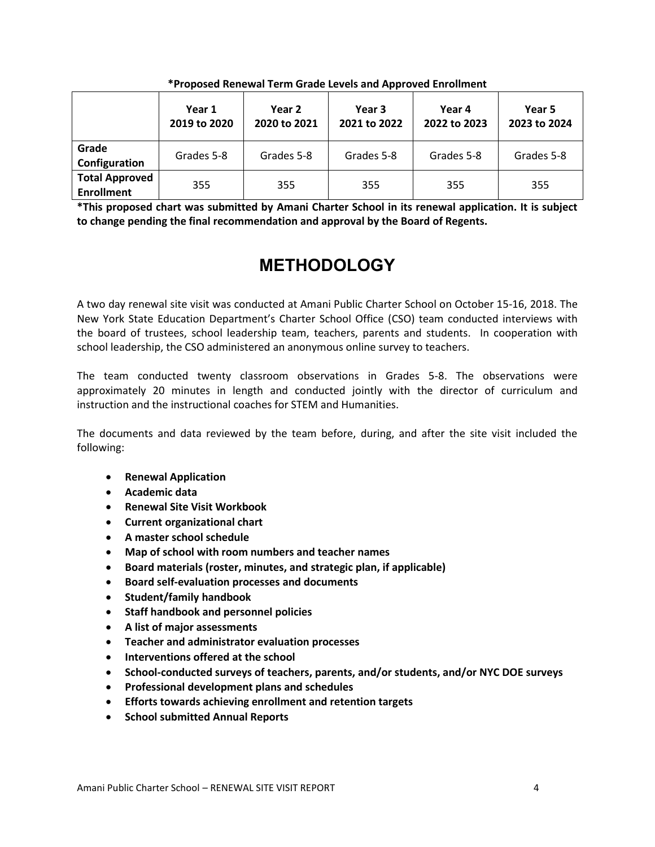|                                            | Year 1<br>2019 to 2020 | Year 2<br>2020 to 2021 | Year 3<br>2021 to 2022 | Year 4<br>2022 to 2023 | Year 5<br>2023 to 2024 |
|--------------------------------------------|------------------------|------------------------|------------------------|------------------------|------------------------|
| Grade<br>Configuration                     | Grades 5-8             | Grades 5-8             | Grades 5-8             | Grades 5-8             | Grades 5-8             |
| <b>Total Approved</b><br><b>Enrollment</b> | 355                    | 355                    | 355                    | 355                    | 355                    |

**\*Proposed Renewal Term Grade Levels and Approved Enrollment**

<span id="page-4-0"></span>**\*This proposed chart was submitted by Amani Charter School in its renewal application. It is subject to change pending the final recommendation and approval by the Board of Regents.** 

# **METHODOLOGY**

A two day renewal site visit was conducted at Amani Public Charter School on October 15-16, 2018. The New York State Education Department's Charter School Office (CSO) team conducted interviews with the board of trustees, school leadership team, teachers, parents and students. In cooperation with school leadership, the CSO administered an anonymous online survey to teachers.

The team conducted twenty classroom observations in Grades 5-8. The observations were approximately 20 minutes in length and conducted jointly with the director of curriculum and instruction and the instructional coaches for STEM and Humanities.

The documents and data reviewed by the team before, during, and after the site visit included the following:

- **•** Renewal Application
- **Academic data**
- **Renewal Site Visit Workbook**
- **Current organizational chart**
- **A master school schedule**
- **Map of school with room numbers and teacher names**
- **Board materials (roster, minutes, and strategic plan, if applicable)**
- **Board self-evaluation processes and documents**
- **Student/family handbook**
- **Staff handbook and personnel policies**
- **A list of major assessments**
- **Teacher and administrator evaluation processes**
- **Interventions offered at the school**
- **School-conducted surveys of teachers, parents, and/or students, and/or NYC DOE surveys**
- **Professional development plans and schedules**
- **Efforts towards achieving enrollment and retention targets**
- **•** School submitted Annual Reports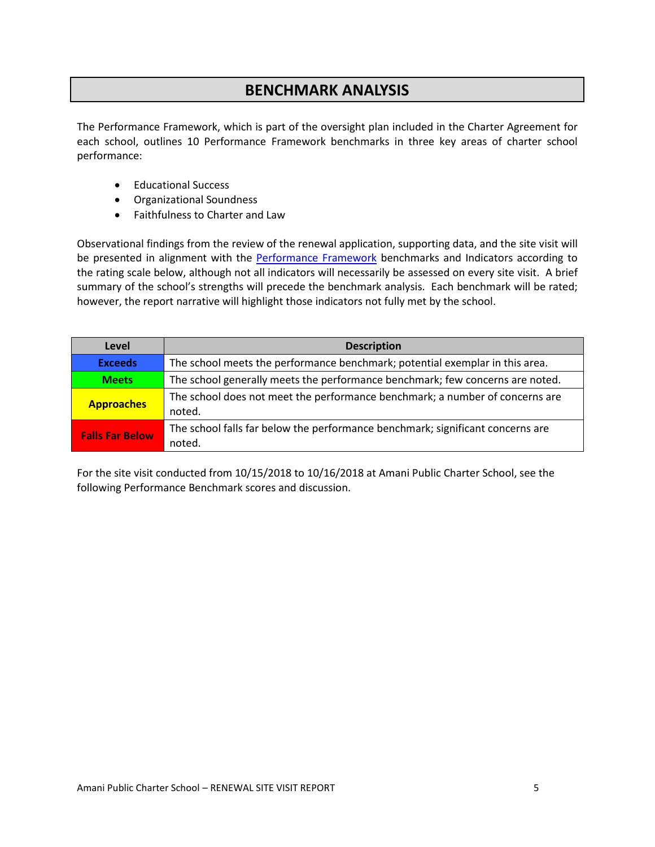# **BENCHMARK ANALYSIS**

<span id="page-5-0"></span>The Performance Framework, which is part of the oversight plan included in the Charter Agreement for each school, outlines 10 Performance Framework benchmarks in three key areas of charter school performance:

- Educational Success
- Organizational Soundness
- Faithfulness to Charter and Law

Observational findings from the review of the renewal application, supporting data, and the site visit will be presented in alignment with the [Performance Framework](http://www.p12.nysed.gov/psc/regentsoversightplan/section3/CSPerfFramewkNov15.pdf) benchmarks and Indicators according to the rating scale below, although not all indicators will necessarily be assessed on every site visit. A brief summary of the school's strengths will precede the benchmark analysis. Each benchmark will be rated; however, the report narrative will highlight those indicators not fully met by the school.

| Level                  | <b>Description</b>                                                                       |
|------------------------|------------------------------------------------------------------------------------------|
| <b>Exceeds</b>         | The school meets the performance benchmark; potential exemplar in this area.             |
| <b>Meets</b>           | The school generally meets the performance benchmark; few concerns are noted.            |
| <b>Approaches</b>      | The school does not meet the performance benchmark; a number of concerns are<br>noted.   |
| <b>Falls Far Below</b> | The school falls far below the performance benchmark; significant concerns are<br>noted. |

For the site visit conducted from 10/15/2018 to 10/16/2018 at Amani Public Charter School, see the following Performance Benchmark scores and discussion.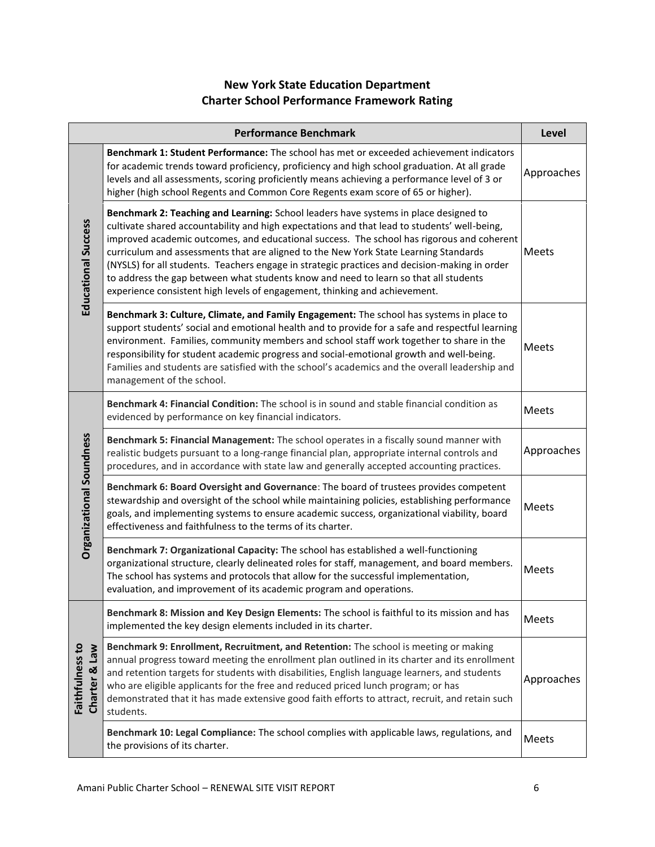# **New York State Education Department Charter School Performance Framework Rating**

|                                            | <b>Performance Benchmark</b>                                                                                                                                                                                                                                                                                                                                                                                                                                                                                                                                                                                                                     | Level        |
|--------------------------------------------|--------------------------------------------------------------------------------------------------------------------------------------------------------------------------------------------------------------------------------------------------------------------------------------------------------------------------------------------------------------------------------------------------------------------------------------------------------------------------------------------------------------------------------------------------------------------------------------------------------------------------------------------------|--------------|
|                                            | Benchmark 1: Student Performance: The school has met or exceeded achievement indicators<br>for academic trends toward proficiency, proficiency and high school graduation. At all grade<br>levels and all assessments, scoring proficiently means achieving a performance level of 3 or<br>higher (high school Regents and Common Core Regents exam score of 65 or higher).                                                                                                                                                                                                                                                                      | Approaches   |
| <b>Educational Success</b>                 | Benchmark 2: Teaching and Learning: School leaders have systems in place designed to<br>cultivate shared accountability and high expectations and that lead to students' well-being,<br>improved academic outcomes, and educational success. The school has rigorous and coherent<br>curriculum and assessments that are aligned to the New York State Learning Standards<br>(NYSLS) for all students. Teachers engage in strategic practices and decision-making in order<br>to address the gap between what students know and need to learn so that all students<br>experience consistent high levels of engagement, thinking and achievement. | <b>Meets</b> |
|                                            | Benchmark 3: Culture, Climate, and Family Engagement: The school has systems in place to<br>support students' social and emotional health and to provide for a safe and respectful learning<br>environment. Families, community members and school staff work together to share in the<br>responsibility for student academic progress and social-emotional growth and well-being.<br>Families and students are satisfied with the school's academics and the overall leadership and<br>management of the school.                                                                                                                                | <b>Meets</b> |
|                                            | Benchmark 4: Financial Condition: The school is in sound and stable financial condition as<br>evidenced by performance on key financial indicators.                                                                                                                                                                                                                                                                                                                                                                                                                                                                                              | Meets        |
|                                            | Benchmark 5: Financial Management: The school operates in a fiscally sound manner with<br>realistic budgets pursuant to a long-range financial plan, appropriate internal controls and<br>procedures, and in accordance with state law and generally accepted accounting practices.                                                                                                                                                                                                                                                                                                                                                              | Approaches   |
| <b>Organizational Soundness</b>            | Benchmark 6: Board Oversight and Governance: The board of trustees provides competent<br>stewardship and oversight of the school while maintaining policies, establishing performance<br>goals, and implementing systems to ensure academic success, organizational viability, board<br>effectiveness and faithfulness to the terms of its charter.                                                                                                                                                                                                                                                                                              | Meets        |
|                                            | Benchmark 7: Organizational Capacity: The school has established a well-functioning<br>organizational structure, clearly delineated roles for staff, management, and board members.<br>The school has systems and protocols that allow for the successful implementation,<br>evaluation, and improvement of its academic program and operations.                                                                                                                                                                                                                                                                                                 | <b>Meets</b> |
|                                            | Benchmark 8: Mission and Key Design Elements: The school is faithful to its mission and has<br>implemented the key design elements included in its charter.                                                                                                                                                                                                                                                                                                                                                                                                                                                                                      | Meets        |
| Faithfulness to<br><b>Law</b><br>Charter & | Benchmark 9: Enrollment, Recruitment, and Retention: The school is meeting or making<br>annual progress toward meeting the enrollment plan outlined in its charter and its enrollment<br>and retention targets for students with disabilities, English language learners, and students<br>who are eligible applicants for the free and reduced priced lunch program; or has<br>demonstrated that it has made extensive good faith efforts to attract, recruit, and retain such<br>students.                                                                                                                                                      | Approaches   |
|                                            | Benchmark 10: Legal Compliance: The school complies with applicable laws, regulations, and<br>the provisions of its charter.                                                                                                                                                                                                                                                                                                                                                                                                                                                                                                                     | <b>Meets</b> |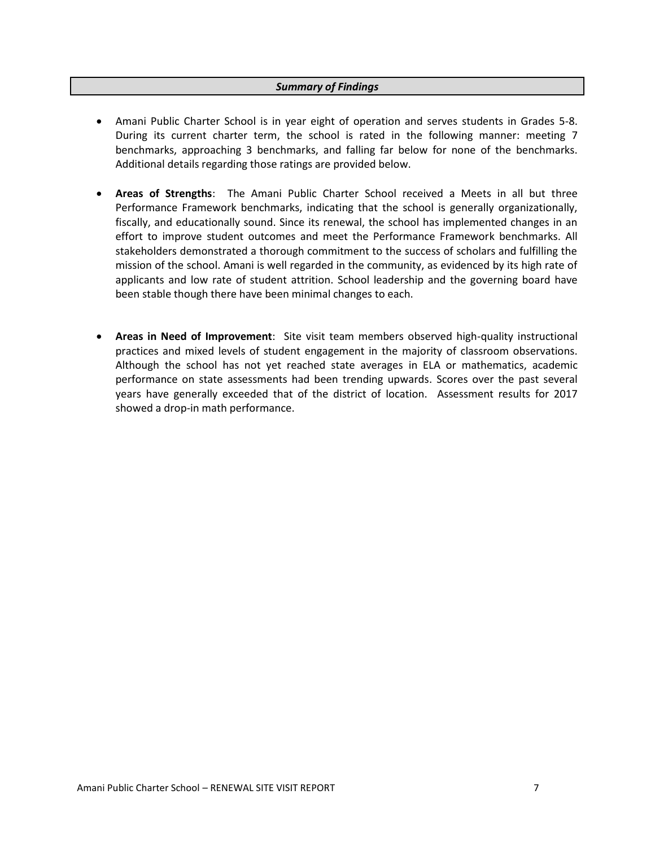## *Summary of Findings*

- <span id="page-7-0"></span> Amani Public Charter School is in year eight of operation and serves students in Grades 5-8. During its current charter term, the school is rated in the following manner: meeting 7 benchmarks, approaching 3 benchmarks, and falling far below for none of the benchmarks. Additional details regarding those ratings are provided below.
- **Areas of Strengths**: The Amani Public Charter School received a Meets in all but three Performance Framework benchmarks, indicating that the school is generally organizationally, fiscally, and educationally sound. Since its renewal, the school has implemented changes in an effort to improve student outcomes and meet the Performance Framework benchmarks. All stakeholders demonstrated a thorough commitment to the success of scholars and fulfilling the mission of the school. Amani is well regarded in the community, as evidenced by its high rate of applicants and low rate of student attrition. School leadership and the governing board have been stable though there have been minimal changes to each.
- **Areas in Need of Improvement**: Site visit team members observed high-quality instructional practices and mixed levels of student engagement in the majority of classroom observations. Although the school has not yet reached state averages in ELA or mathematics, academic performance on state assessments had been trending upwards. Scores over the past several years have generally exceeded that of the district of location. Assessment results for 2017 showed a drop-in math performance.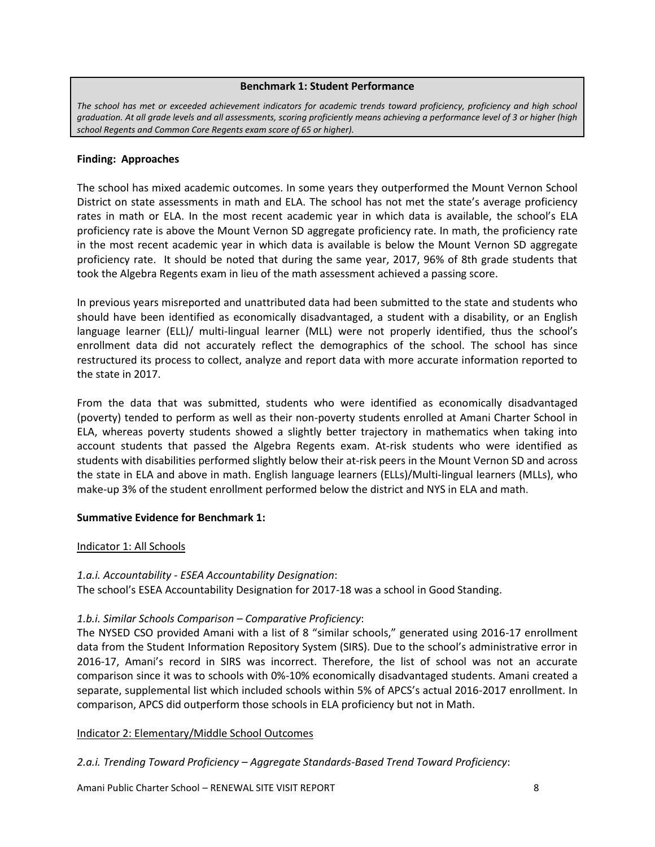#### **Benchmark 1: Student Performance**

<span id="page-8-0"></span>*The school has met or exceeded achievement indicators for academic trends toward proficiency, proficiency and high school graduation. At all grade levels and all assessments, scoring proficiently means achieving a performance level of 3 or higher (high school Regents and Common Core Regents exam score of 65 or higher).*

#### **Finding: Approaches**

The school has mixed academic outcomes. In some years they outperformed the Mount Vernon School District on state assessments in math and ELA. The school has not met the state's average proficiency rates in math or ELA. In the most recent academic year in which data is available, the school's ELA proficiency rate is above the Mount Vernon SD aggregate proficiency rate. In math, the proficiency rate in the most recent academic year in which data is available is below the Mount Vernon SD aggregate proficiency rate. It should be noted that during the same year, 2017, 96% of 8th grade students that took the Algebra Regents exam in lieu of the math assessment achieved a passing score.

In previous years misreported and unattributed data had been submitted to the state and students who should have been identified as economically disadvantaged, a student with a disability, or an English language learner (ELL)/ multi-lingual learner (MLL) were not properly identified, thus the school's enrollment data did not accurately reflect the demographics of the school. The school has since restructured its process to collect, analyze and report data with more accurate information reported to the state in 2017.

From the data that was submitted, students who were identified as economically disadvantaged (poverty) tended to perform as well as their non-poverty students enrolled at Amani Charter School in ELA, whereas poverty students showed a slightly better trajectory in mathematics when taking into account students that passed the Algebra Regents exam. At-risk students who were identified as students with disabilities performed slightly below their at-risk peers in the Mount Vernon SD and across the state in ELA and above in math. English language learners (ELLs)/Multi-lingual learners (MLLs), who make-up 3% of the student enrollment performed below the district and NYS in ELA and math.

# **Summative Evidence for Benchmark 1:**

# Indicator 1: All Schools

# *1.a.i. Accountability - ESEA Accountability Designation*:

The school's ESEA Accountability Designation for 2017-18 was a school in Good Standing.

# *1.b.i. Similar Schools Comparison – Comparative Proficiency*:

The NYSED CSO provided Amani with a list of 8 "similar schools," generated using 2016-17 enrollment data from the Student Information Repository System (SIRS). Due to the school's administrative error in 2016-17, Amani's record in SIRS was incorrect. Therefore, the list of school was not an accurate comparison since it was to schools with 0%-10% economically disadvantaged students. Amani created a separate, supplemental list which included schools within 5% of APCS's actual 2016-2017 enrollment. In comparison, APCS did outperform those schools in ELA proficiency but not in Math.

# Indicator 2: Elementary/Middle School Outcomes

*2.a.i. Trending Toward Proficiency – Aggregate Standards-Based Trend Toward Proficiency*:

Amani Public Charter School – RENEWAL SITE VISIT REPORT 8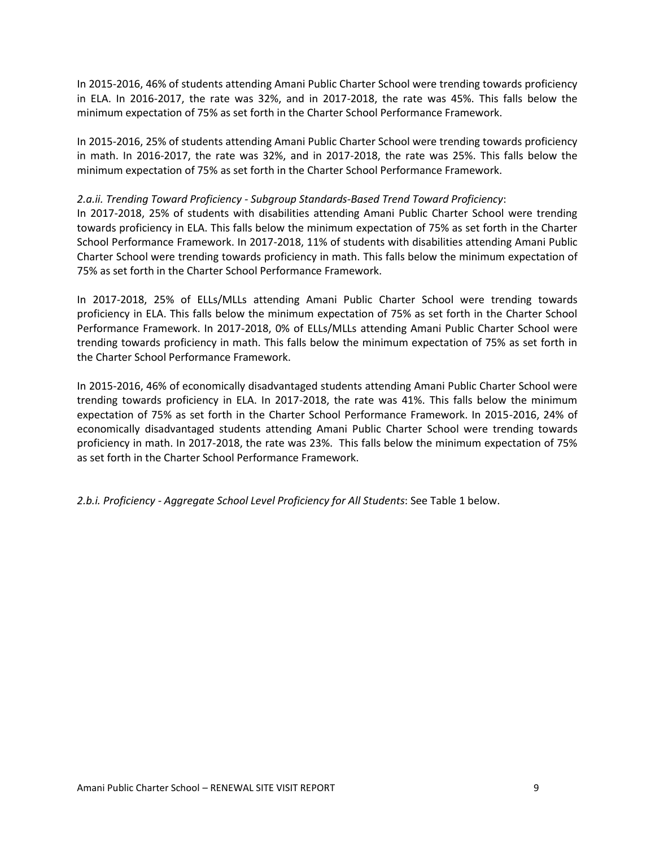In 2015-2016, 46% of students attending Amani Public Charter School were trending towards proficiency in ELA. In 2016-2017, the rate was 32%, and in 2017-2018, the rate was 45%. This falls below the minimum expectation of 75% as set forth in the Charter School Performance Framework.

In 2015-2016, 25% of students attending Amani Public Charter School were trending towards proficiency in math. In 2016-2017, the rate was 32%, and in 2017-2018, the rate was 25%. This falls below the minimum expectation of 75% as set forth in the Charter School Performance Framework.

# *2.a.ii. Trending Toward Proficiency - Subgroup Standards-Based Trend Toward Proficiency*:

In 2017-2018, 25% of students with disabilities attending Amani Public Charter School were trending towards proficiency in ELA. This falls below the minimum expectation of 75% as set forth in the Charter School Performance Framework. In 2017-2018, 11% of students with disabilities attending Amani Public Charter School were trending towards proficiency in math. This falls below the minimum expectation of 75% as set forth in the Charter School Performance Framework.

In 2017-2018, 25% of ELLs/MLLs attending Amani Public Charter School were trending towards proficiency in ELA. This falls below the minimum expectation of 75% as set forth in the Charter School Performance Framework. In 2017-2018, 0% of ELLs/MLLs attending Amani Public Charter School were trending towards proficiency in math. This falls below the minimum expectation of 75% as set forth in the Charter School Performance Framework.

In 2015-2016, 46% of economically disadvantaged students attending Amani Public Charter School were trending towards proficiency in ELA. In 2017-2018, the rate was 41%. This falls below the minimum expectation of 75% as set forth in the Charter School Performance Framework. In 2015-2016, 24% of economically disadvantaged students attending Amani Public Charter School were trending towards proficiency in math. In 2017-2018, the rate was 23%. This falls below the minimum expectation of 75% as set forth in the Charter School Performance Framework.

*2.b.i. Proficiency - Aggregate School Level Proficiency for All Students*: See Table 1 below.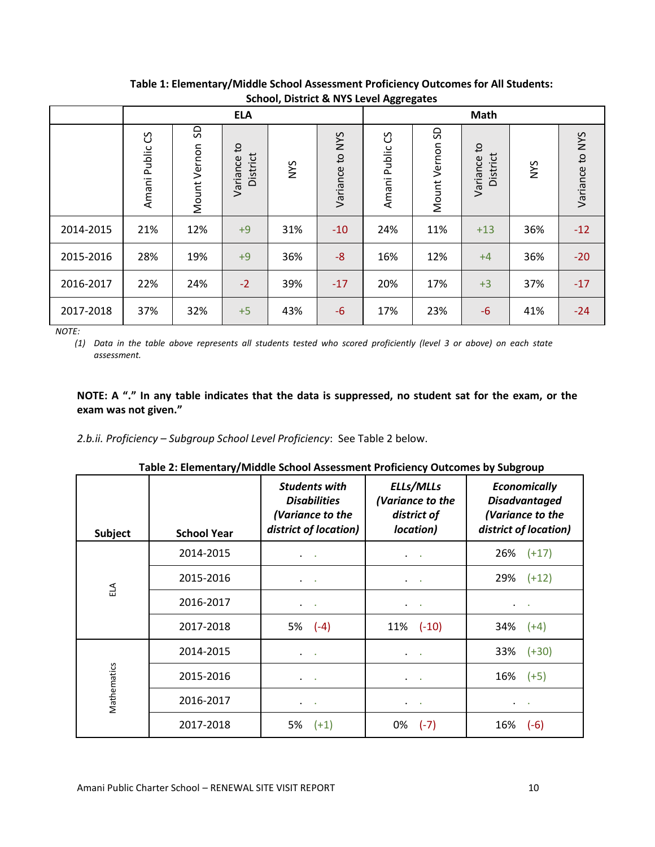|           |                    |                    | <b>ELA</b>              |            |                    | ັ                  | <b>Math</b>     |                         |     |                 |
|-----------|--------------------|--------------------|-------------------------|------------|--------------------|--------------------|-----------------|-------------------------|-----|-----------------|
|           | ပိ<br>Amani Public | SD<br>Mount Vernon | Variance to<br>District | <b>NYS</b> | to NYS<br>Variance | ပိ<br>Amani Public | Mount Vernon SD | Variance to<br>District | NYS | Variance to NYS |
| 2014-2015 | 21%                | 12%                | $+9$                    | 31%        | $-10$              | 24%                | 11%             | $+13$                   | 36% | $-12$           |
| 2015-2016 | 28%                | 19%                | $+9$                    | 36%        | $-8$               | 16%                | 12%             | $+4$                    | 36% | $-20$           |
| 2016-2017 | 22%                | 24%                | $-2$                    | 39%        | $-17$              | 20%                | 17%             | $+3$                    | 37% | $-17$           |
| 2017-2018 | 37%                | 32%                | $+5$                    | 43%        | $-6$               | 17%                | 23%             | $-6$                    | 41% | $-24$           |

**Table 1: Elementary/Middle School Assessment Proficiency Outcomes for All Students: School, District & NYS Level Aggregates**

*NOTE:*

*(1) Data in the table above represents all students tested who scored proficiently (level 3 or above) on each state assessment.*

# **NOTE: A "." In any table indicates that the data is suppressed, no student sat for the exam, or the exam was not given."**

*2.b.ii. Proficiency – Subgroup School Level Proficiency*: See Table 2 below.

| Subject       | <b>School Year</b> | <b>Students with</b><br><b>Disabilities</b><br>(Variance to the<br>district of location) | ELLs/MLLs<br>(Variance to the<br>district of<br>location) | <b>Economically</b><br><b>Disadvantaged</b><br>(Variance to the<br>district of location) |
|---------------|--------------------|------------------------------------------------------------------------------------------|-----------------------------------------------------------|------------------------------------------------------------------------------------------|
|               | 2014-2015          |                                                                                          |                                                           | 26%<br>$(+17)$                                                                           |
| $\tilde{\Xi}$ | 2015-2016          |                                                                                          | ٠                                                         | 29%<br>$(+12)$                                                                           |
|               | 2016-2017          | $\bullet$                                                                                | $\sim$                                                    |                                                                                          |
|               | 2017-2018          | 5% (-4)                                                                                  | $11\%$ (-10)                                              | 34%<br>$(+4)$                                                                            |
|               | 2014-2015          | $\bullet$ .<br><br><br><br><br><br><br><br><br><br><br><br><br>                          | $\cdot$ .                                                 | 33%<br>$(+30)$                                                                           |
|               | 2015-2016          |                                                                                          | $\sim$                                                    | 16%<br>$(+5)$                                                                            |
| Mathematics   | 2016-2017          | $\sim$ 100 $\pm$                                                                         | $\blacksquare$                                            | $\bullet$                                                                                |
|               | 2017-2018          | 5%<br>$(+1)$                                                                             | 0%<br>$(-7)$                                              | 16%<br>$(-6)$                                                                            |

| Table 2: Elementary/Middle School Assessment Proficiency Outcomes by Subgroup |  |
|-------------------------------------------------------------------------------|--|
|-------------------------------------------------------------------------------|--|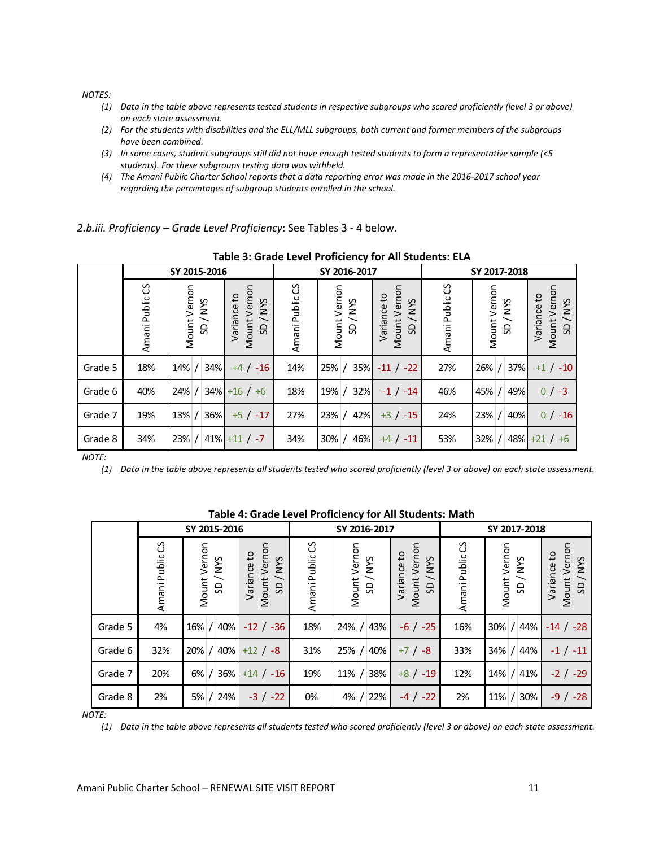*NOTES:*

- *(1) Data in the table above represents tested students in respective subgroups who scored proficiently (level 3 or above) on each state assessment.*
- *(2) For the students with disabilities and the ELL/MLL subgroups, both current and former members of the subgroups have been combined.*
- *(3) In some cases, student subgroups still did not have enough tested students to form a representative sample (<5 students). For these subgroups testing data was withheld.*
- *(4) The Amani Public Charter School reports that a data reporting error was made in the 2016-2017 school year regarding the percentages of subgroup students enrolled in the school.*

*2.b.iii. Proficiency – Grade Level Proficiency*: See Tables 3 - 4 below.

|              | Table 3. Shaac Ecter Froncicilet for All Staachts. EEA |                        |                                                    |                 |                        |                                                                                      |                   |                        |                                                                 |  |
|--------------|--------------------------------------------------------|------------------------|----------------------------------------------------|-----------------|------------------------|--------------------------------------------------------------------------------------|-------------------|------------------------|-----------------------------------------------------------------|--|
|              |                                                        | SY 2015-2016           |                                                    |                 | SY 2016-2017           |                                                                                      | SY 2017-2018      |                        |                                                                 |  |
|              | Amani Public CS                                        | Mount Vernon<br>SD/NYS | Vernon<br>Variance to<br><b>NYS</b><br>Mount<br>SD | Amani Public CS | Mount Vernon<br>SD/NYS | Vernon<br>Variance to<br><b>SAN</b><br>$\overline{\phantom{0}}$<br>Mount<br><b>G</b> | უ<br>Amani Public | Mount Vernon<br>SD/NYS | Vernon<br>Variance to<br><b>NYS</b><br>Mount <sup>'</sup><br>SD |  |
| Grade 5      | 18%                                                    | 34%<br>$14\%$ /        | $+4 / -16$                                         | 14%             | 35%<br>25% /           | $-11 / -22$                                                                          | 27%               | 37%l<br>$26\%$ /       | $+1$ / $-10$                                                    |  |
| Grade 6      | 40%                                                    | 34%<br>$24\%$ /        | $+16/+6$                                           | 18%             | 32%<br>19% /           | $-1 / -14$                                                                           | 46%               | 49%<br>$45\%$ /        | $0/ -3$                                                         |  |
| Grade 7      | 19%                                                    | 36%<br>$13%$ /         | $+5/ -17$                                          | 27%             | 23% /<br>42%           | $+3$ / $-15$                                                                         | 24%               | 23% /<br>40%           | $0/ -16$                                                        |  |
| Grade 8      | 34%                                                    | $23\%$ / 41% + 11 / -7 |                                                    | 34%             | $30\%$ /<br>46%        | $+4 / -11$                                                                           | 53%               | $32\%$ /               | $48\%$ +21 / +6                                                 |  |
| <b>NOTE:</b> |                                                        |                        |                                                    |                 |                        |                                                                                      |                   |                        |                                                                 |  |

**Table 3: Grade Level Proficiency for All Students: ELA**

|                                                                                                                                    | Amani Public CS | Mount Vernon | SD/NYS                                 | Variance to | Mount Vernon<br>SD/NYS                                  | Amani Public CS | Mount Vernon | SD/NYS                                 | Variance to | Mount Vernon<br>SD/NYS      |        | Amani Public CS | Mount Vernon | SD/NYS       |        | Variance to  | Mount Vernon     | <b>NVS</b><br>$\overline{SD}$ |
|------------------------------------------------------------------------------------------------------------------------------------|-----------------|--------------|----------------------------------------|-------------|---------------------------------------------------------|-----------------|--------------|----------------------------------------|-------------|-----------------------------|--------|-----------------|--------------|--------------|--------|--------------|------------------|-------------------------------|
| irade 5                                                                                                                            | 18%             | $14\%$ /     | 34%                                    |             | $+4 / -16$                                              | 14%             | 25% /        | 35%                                    |             | $-11 / -22$                 |        | 27%             | 26%          |              | 37%    |              | $+1$ / $-10$     |                               |
| irade 6                                                                                                                            | 40%             | $24%$ /      |                                        |             | $34\% + 16$ / +6                                        | 18%             | 19%          | 32%                                    |             | $-1 / -14$                  |        | 46%             | 45%          |              | 49%    |              | $0/ -3$          |                               |
| irade 7                                                                                                                            | 19%             | $13%$ /      | 36%                                    |             | $+5$ / $-17$                                            | 27%             | 23% /        | 42%                                    |             | $+3$ / $-15$                |        | 24%             | 23%          |              | 40%    |              | $0/ -16$         |                               |
| irade 8                                                                                                                            | 34%             | 23% /        |                                        |             | $41\% + 11 / -7$                                        | 34%             | $30\%$ /     | 46%                                    |             | $+4 / -11$                  |        | 53%             | 32%          |              |        |              | $48\% + 21 / +6$ |                               |
| (1)<br>Data in the table above represents all students tested who scored proficiently (level 3 or above) on each state assessment. |                 |              |                                        |             |                                                         |                 |              |                                        |             |                             |        |                 |              |              |        |              |                  |                               |
|                                                                                                                                    |                 |              |                                        |             | Table 4: Grade Level Proficiency for All Students: Math |                 |              |                                        |             |                             |        |                 |              |              |        |              |                  |                               |
|                                                                                                                                    | Amani Public CS |              | SY 2015-2016<br>Mount Vernon<br>SD/NYS |             | Mount Vernon<br>Variance to<br>SD/NYS                   | Amani Public CS |              | SY 2016-2017<br>Mount Vernon<br>SD/NYS |             | Mount Vernon<br>Variance to | SD/NYS | Amani Public CS |              | Mount Vernon | SD/NYS | SY 2017-2018 | Variance to      | Mount Vernon<br>SD/NYS        |
| Grade 5                                                                                                                            | 4%              | 16%          |                                        | 40%         | $-12 / -36$                                             | 18%             |              | 24%                                    | 43%         | $-6$ / $-25$                |        | 16%             |              | 30%          | /44%   |              |                  | $-14$ / $-28$                 |
| Grade 6                                                                                                                            | 32%             | $20%$ /      |                                        | 40%         | $+12 / -8$                                              | 31%             |              | 25%                                    | 40%         | $+7/ -8$                    |        | 33%             |              | 34%          |        | /44%         |                  | $-1 / -11$                    |
| Grade 7                                                                                                                            | 20%             | 6%           |                                        | 36%         | $+14 / -16$                                             | 19%             |              | 11%                                    | 38%         | $+8$ / $-19$                |        | 12%             |              | 14%          |        | /41%         |                  | $-2$ / $-29$                  |

**Table 4: Grade Level Proficiency for All Students: Math** 

*NOTE:*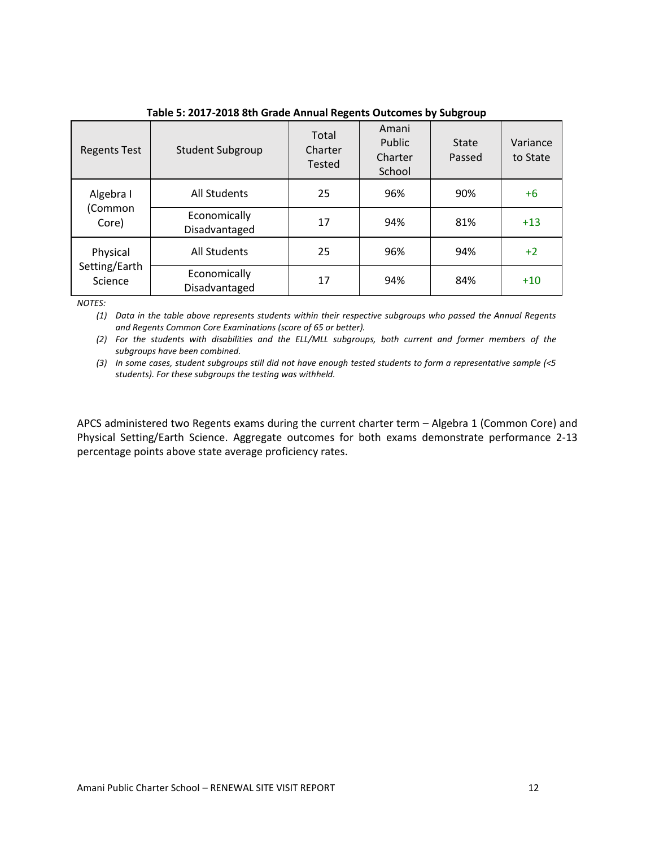| <b>Regents Test</b>      | <b>Student Subgroup</b>       | Total<br>Charter<br><b>Tested</b> | Amani<br>Public<br>Charter<br>School | State<br>Passed | Variance<br>to State |
|--------------------------|-------------------------------|-----------------------------------|--------------------------------------|-----------------|----------------------|
| Algebra I                | All Students                  | 25                                | 96%                                  | 90%             | $+6$                 |
| (Common<br>Core)         | Economically<br>Disadvantaged | 17                                | 94%                                  | 81%             | $+13$                |
| Physical                 | All Students                  | 25                                | 96%                                  | 94%             | $+2$                 |
| Setting/Earth<br>Science | Economically<br>Disadvantaged | 17                                | 94%                                  | 84%             | $+10$                |

## **Table 5: 2017-2018 8th Grade Annual Regents Outcomes by Subgroup**

*NOTES:*

*(1) Data in the table above represents students within their respective subgroups who passed the Annual Regents and Regents Common Core Examinations (score of 65 or better).*

*(2) For the students with disabilities and the ELL/MLL subgroups, both current and former members of the subgroups have been combined.*

*(3) In some cases, student subgroups still did not have enough tested students to form a representative sample (<5 students). For these subgroups the testing was withheld.*

APCS administered two Regents exams during the current charter term – Algebra 1 (Common Core) and Physical Setting/Earth Science. Aggregate outcomes for both exams demonstrate performance 2-13 percentage points above state average proficiency rates.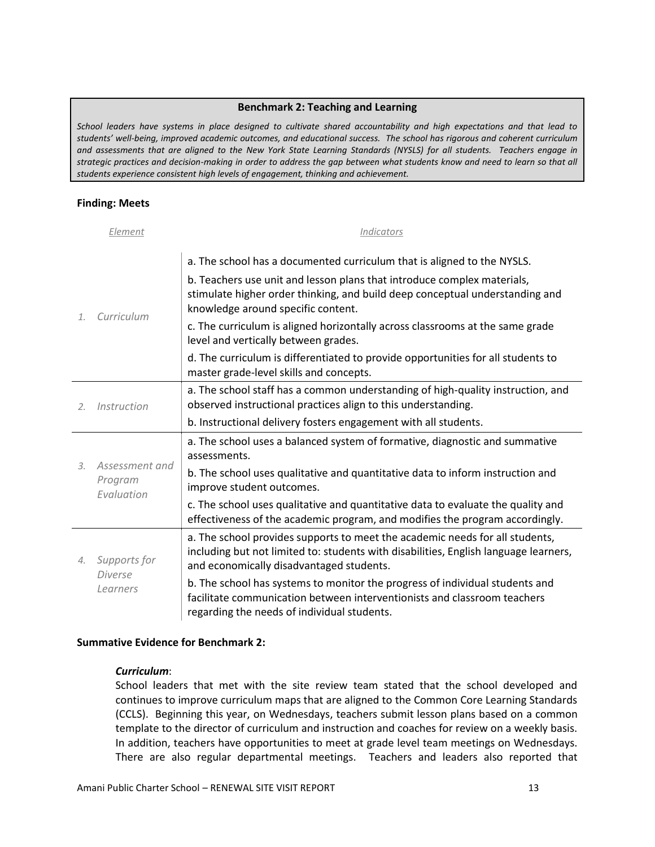#### **Benchmark 2: Teaching and Learning**

<span id="page-13-0"></span>*School leaders have systems in place designed to cultivate shared accountability and high expectations and that lead to students' well-being, improved academic outcomes, and educational success. The school has rigorous and coherent curriculum and assessments that are aligned to the New York State Learning Standards (NYSLS) for all students. Teachers engage in strategic practices and decision-making in order to address the gap between what students know and need to learn so that all students experience consistent high levels of engagement, thinking and achievement.*

## **Finding: Meets**

|                       | Element                                    | Indicators                                                                                                                                                                                                                         |
|-----------------------|--------------------------------------------|------------------------------------------------------------------------------------------------------------------------------------------------------------------------------------------------------------------------------------|
| $\mathcal{I}$ .       | Curriculum                                 | a. The school has a documented curriculum that is aligned to the NYSLS.<br>b. Teachers use unit and lesson plans that introduce complex materials,<br>stimulate higher order thinking, and build deep conceptual understanding and |
|                       |                                            | knowledge around specific content.<br>c. The curriculum is aligned horizontally across classrooms at the same grade<br>level and vertically between grades.                                                                        |
|                       |                                            | d. The curriculum is differentiated to provide opportunities for all students to<br>master grade-level skills and concepts.                                                                                                        |
| 2.                    | Instruction                                | a. The school staff has a common understanding of high-quality instruction, and<br>observed instructional practices align to this understanding.                                                                                   |
|                       |                                            | b. Instructional delivery fosters engagement with all students.                                                                                                                                                                    |
|                       | Assessment and<br>Program<br>Evaluation    | a. The school uses a balanced system of formative, diagnostic and summative<br>assessments.                                                                                                                                        |
| $\mathcal{Z}$ .       |                                            | b. The school uses qualitative and quantitative data to inform instruction and<br>improve student outcomes.                                                                                                                        |
|                       |                                            | c. The school uses qualitative and quantitative data to evaluate the quality and<br>effectiveness of the academic program, and modifies the program accordingly.                                                                   |
| $\mathcal{A}_{\cdot}$ | Supports for<br><b>Diverse</b><br>Learners | a. The school provides supports to meet the academic needs for all students,<br>including but not limited to: students with disabilities, English language learners,<br>and economically disadvantaged students.                   |
|                       |                                            | b. The school has systems to monitor the progress of individual students and<br>facilitate communication between interventionists and classroom teachers<br>regarding the needs of individual students.                            |

#### **Summative Evidence for Benchmark 2:**

#### *Curriculum*:

School leaders that met with the site review team stated that the school developed and continues to improve curriculum maps that are aligned to the Common Core Learning Standards (CCLS). Beginning this year, on Wednesdays, teachers submit lesson plans based on a common template to the director of curriculum and instruction and coaches for review on a weekly basis. In addition, teachers have opportunities to meet at grade level team meetings on Wednesdays. There are also regular departmental meetings. Teachers and leaders also reported that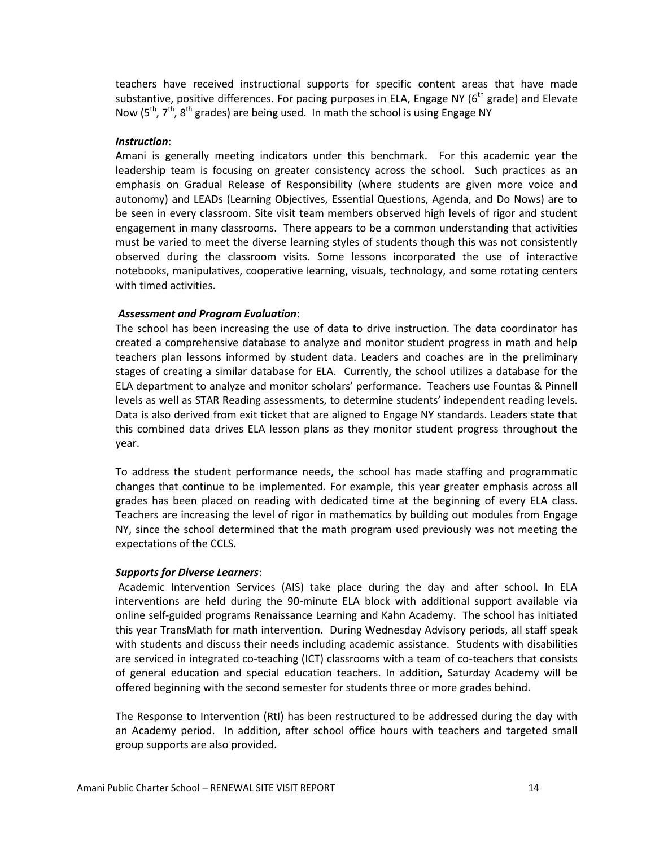teachers have received instructional supports for specific content areas that have made substantive, positive differences. For pacing purposes in ELA, Engage NY ( $6<sup>th</sup>$  grade) and Elevate Now  $(5<sup>th</sup>, 7<sup>th</sup>, 8<sup>th</sup>$  grades) are being used. In math the school is using Engage NY

#### *Instruction*:

Amani is generally meeting indicators under this benchmark. For this academic year the leadership team is focusing on greater consistency across the school. Such practices as an emphasis on Gradual Release of Responsibility (where students are given more voice and autonomy) and LEADs (Learning Objectives, Essential Questions, Agenda, and Do Nows) are to be seen in every classroom. Site visit team members observed high levels of rigor and student engagement in many classrooms. There appears to be a common understanding that activities must be varied to meet the diverse learning styles of students though this was not consistently observed during the classroom visits. Some lessons incorporated the use of interactive notebooks, manipulatives, cooperative learning, visuals, technology, and some rotating centers with timed activities.

#### *Assessment and Program Evaluation*:

The school has been increasing the use of data to drive instruction. The data coordinator has created a comprehensive database to analyze and monitor student progress in math and help teachers plan lessons informed by student data. Leaders and coaches are in the preliminary stages of creating a similar database for ELA. Currently, the school utilizes a database for the ELA department to analyze and monitor scholars' performance. Teachers use Fountas & Pinnell levels as well as STAR Reading assessments, to determine students' independent reading levels. Data is also derived from exit ticket that are aligned to Engage NY standards. Leaders state that this combined data drives ELA lesson plans as they monitor student progress throughout the year.

To address the student performance needs, the school has made staffing and programmatic changes that continue to be implemented. For example, this year greater emphasis across all grades has been placed on reading with dedicated time at the beginning of every ELA class. Teachers are increasing the level of rigor in mathematics by building out modules from Engage NY, since the school determined that the math program used previously was not meeting the expectations of the CCLS.

#### *Supports for Diverse Learners*:

Academic Intervention Services (AIS) take place during the day and after school. In ELA interventions are held during the 90-minute ELA block with additional support available via online self-guided programs Renaissance Learning and Kahn Academy. The school has initiated this year TransMath for math intervention. During Wednesday Advisory periods, all staff speak with students and discuss their needs including academic assistance. Students with disabilities are serviced in integrated co-teaching (ICT) classrooms with a team of co-teachers that consists of general education and special education teachers. In addition, Saturday Academy will be offered beginning with the second semester for students three or more grades behind.

The Response to Intervention (RtI) has been restructured to be addressed during the day with an Academy period. In addition, after school office hours with teachers and targeted small group supports are also provided.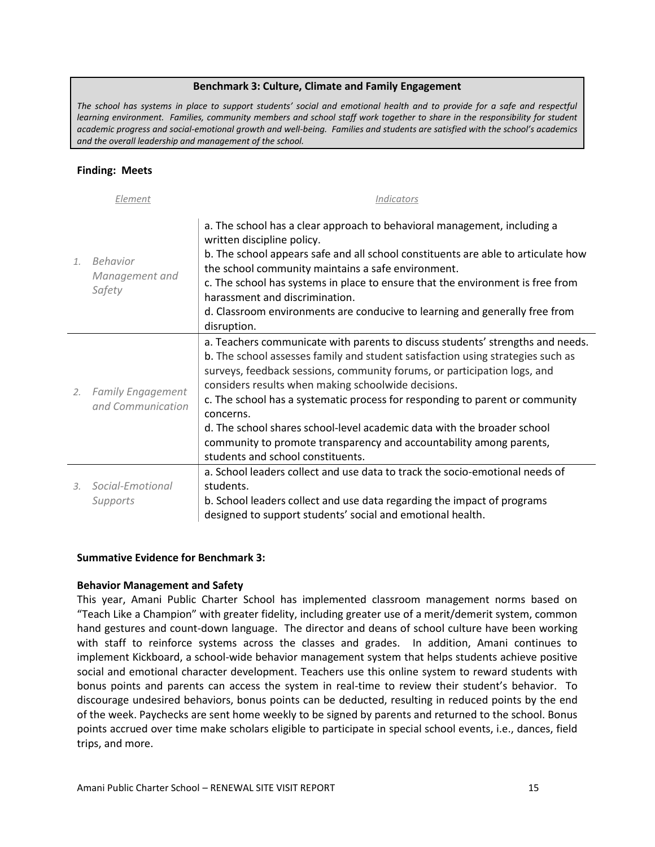#### **Benchmark 3: Culture, Climate and Family Engagement**

<span id="page-15-0"></span>*The school has systems in place to support students' social and emotional health and to provide for a safe and respectful learning environment. Families, community members and school staff work together to share in the responsibility for student academic progress and social-emotional growth and well-being. Families and students are satisfied with the school's academics and the overall leadership and management of the school.*

#### **Finding: Meets**

| Element |                                               | <i><u><b>Indicators</b></u></i>                                                                                                                                                                                                                                                                                                                                                                                                                                                                                                                                                          |
|---------|-----------------------------------------------|------------------------------------------------------------------------------------------------------------------------------------------------------------------------------------------------------------------------------------------------------------------------------------------------------------------------------------------------------------------------------------------------------------------------------------------------------------------------------------------------------------------------------------------------------------------------------------------|
| 1.      | Behavior<br>Management and<br>Safety          | a. The school has a clear approach to behavioral management, including a<br>written discipline policy.<br>b. The school appears safe and all school constituents are able to articulate how<br>the school community maintains a safe environment.<br>c. The school has systems in place to ensure that the environment is free from<br>harassment and discrimination.<br>d. Classroom environments are conducive to learning and generally free from<br>disruption.                                                                                                                      |
| 2.      | <b>Family Engagement</b><br>and Communication | a. Teachers communicate with parents to discuss students' strengths and needs.<br>b. The school assesses family and student satisfaction using strategies such as<br>surveys, feedback sessions, community forums, or participation logs, and<br>considers results when making schoolwide decisions.<br>c. The school has a systematic process for responding to parent or community<br>concerns.<br>d. The school shares school-level academic data with the broader school<br>community to promote transparency and accountability among parents,<br>students and school constituents. |
| 3.      | Social-Emotional<br>Supports                  | a. School leaders collect and use data to track the socio-emotional needs of<br>students.<br>b. School leaders collect and use data regarding the impact of programs<br>designed to support students' social and emotional health.                                                                                                                                                                                                                                                                                                                                                       |

#### **Summative Evidence for Benchmark 3:**

#### **Behavior Management and Safety**

This year, Amani Public Charter School has implemented classroom management norms based on "Teach Like a Champion" with greater fidelity, including greater use of a merit/demerit system, common hand gestures and count-down language. The director and deans of school culture have been working with staff to reinforce systems across the classes and grades. In addition, Amani continues to implement Kickboard, a school-wide behavior management system that helps students achieve positive social and emotional character development. Teachers use this online system to reward students with bonus points and parents can access the system in real-time to review their student's behavior. To discourage undesired behaviors, bonus points can be deducted, resulting in reduced points by the end of the week. Paychecks are sent home weekly to be signed by parents and returned to the school. Bonus points accrued over time make scholars eligible to participate in special school events, i.e., dances, field trips, and more.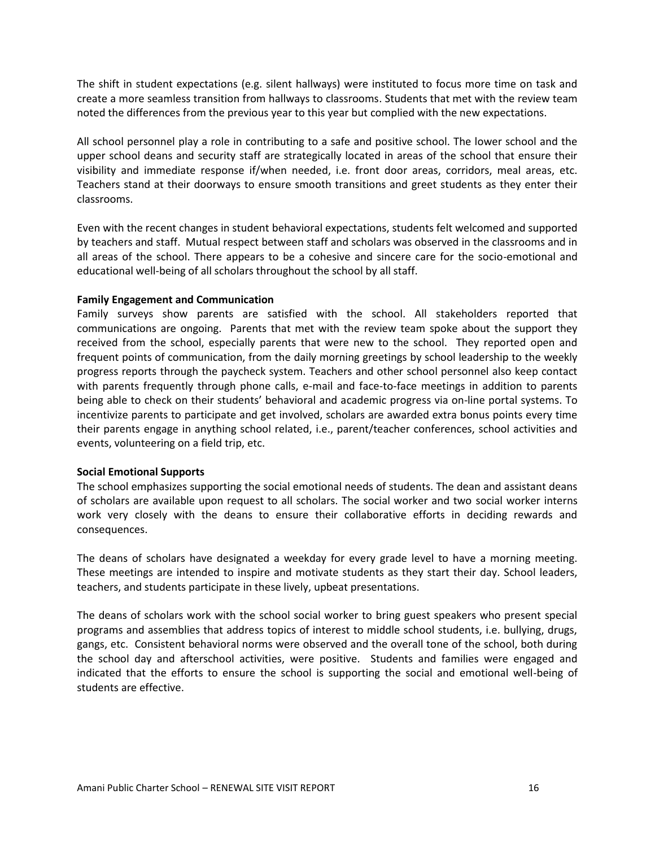The shift in student expectations (e.g. silent hallways) were instituted to focus more time on task and create a more seamless transition from hallways to classrooms. Students that met with the review team noted the differences from the previous year to this year but complied with the new expectations.

All school personnel play a role in contributing to a safe and positive school. The lower school and the upper school deans and security staff are strategically located in areas of the school that ensure their visibility and immediate response if/when needed, i.e. front door areas, corridors, meal areas, etc. Teachers stand at their doorways to ensure smooth transitions and greet students as they enter their classrooms.

Even with the recent changes in student behavioral expectations, students felt welcomed and supported by teachers and staff. Mutual respect between staff and scholars was observed in the classrooms and in all areas of the school. There appears to be a cohesive and sincere care for the socio-emotional and educational well-being of all scholars throughout the school by all staff.

#### **Family Engagement and Communication**

Family surveys show parents are satisfied with the school. All stakeholders reported that communications are ongoing. Parents that met with the review team spoke about the support they received from the school, especially parents that were new to the school. They reported open and frequent points of communication, from the daily morning greetings by school leadership to the weekly progress reports through the paycheck system. Teachers and other school personnel also keep contact with parents frequently through phone calls, e-mail and face-to-face meetings in addition to parents being able to check on their students' behavioral and academic progress via on-line portal systems. To incentivize parents to participate and get involved, scholars are awarded extra bonus points every time their parents engage in anything school related, i.e., parent/teacher conferences, school activities and events, volunteering on a field trip, etc.

#### **Social Emotional Supports**

The school emphasizes supporting the social emotional needs of students. The dean and assistant deans of scholars are available upon request to all scholars. The social worker and two social worker interns work very closely with the deans to ensure their collaborative efforts in deciding rewards and consequences.

The deans of scholars have designated a weekday for every grade level to have a morning meeting. These meetings are intended to inspire and motivate students as they start their day. School leaders, teachers, and students participate in these lively, upbeat presentations.

The deans of scholars work with the school social worker to bring guest speakers who present special programs and assemblies that address topics of interest to middle school students, i.e. bullying, drugs, gangs, etc. Consistent behavioral norms were observed and the overall tone of the school, both during the school day and afterschool activities, were positive. Students and families were engaged and indicated that the efforts to ensure the school is supporting the social and emotional well-being of students are effective.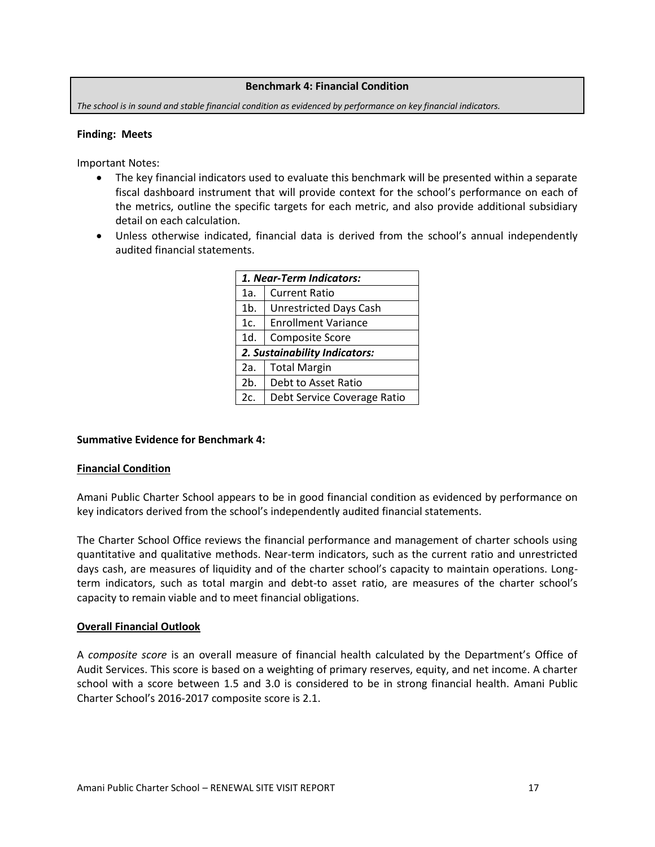#### **Benchmark 4: Financial Condition**

<span id="page-17-0"></span>*The school is in sound and stable financial condition as evidenced by performance on key financial indicators.*

#### **Finding: Meets**

Important Notes:

- The key financial indicators used to evaluate this benchmark will be presented within a separate fiscal dashboard instrument that will provide context for the school's performance on each of the metrics, outline the specific targets for each metric, and also provide additional subsidiary detail on each calculation.
- Unless otherwise indicated, financial data is derived from the school's annual independently audited financial statements.

|                                   | 1. Near-Term Indicators:      |  |  |  |  |
|-----------------------------------|-------------------------------|--|--|--|--|
| 1a.                               | <b>Current Ratio</b>          |  |  |  |  |
| $1b$ .                            | <b>Unrestricted Days Cash</b> |  |  |  |  |
| 1c.                               | <b>Enrollment Variance</b>    |  |  |  |  |
| 1d.                               | <b>Composite Score</b>        |  |  |  |  |
|                                   | 2. Sustainability Indicators: |  |  |  |  |
| 2a.                               | <b>Total Margin</b>           |  |  |  |  |
| 2 <sub>b</sub>                    | Debt to Asset Ratio           |  |  |  |  |
| 2c<br>Debt Service Coverage Ratio |                               |  |  |  |  |

# **Summative Evidence for Benchmark 4:**

#### **Financial Condition**

Amani Public Charter School appears to be in good financial condition as evidenced by performance on key indicators derived from the school's independently audited financial statements.

The Charter School Office reviews the financial performance and management of charter schools using quantitative and qualitative methods. Near‐term indicators, such as the current ratio and unrestricted days cash, are measures of liquidity and of the charter school's capacity to maintain operations. Long‐ term indicators, such as total margin and debt-to asset ratio, are measures of the charter school's capacity to remain viable and to meet financial obligations.

#### **Overall Financial Outlook**

A *composite score* is an overall measure of financial health calculated by the Department's Office of Audit Services. This score is based on a weighting of primary reserves, equity, and net income. A charter school with a score between 1.5 and 3.0 is considered to be in strong financial health. Amani Public Charter School's 2016-2017 composite score is 2.1.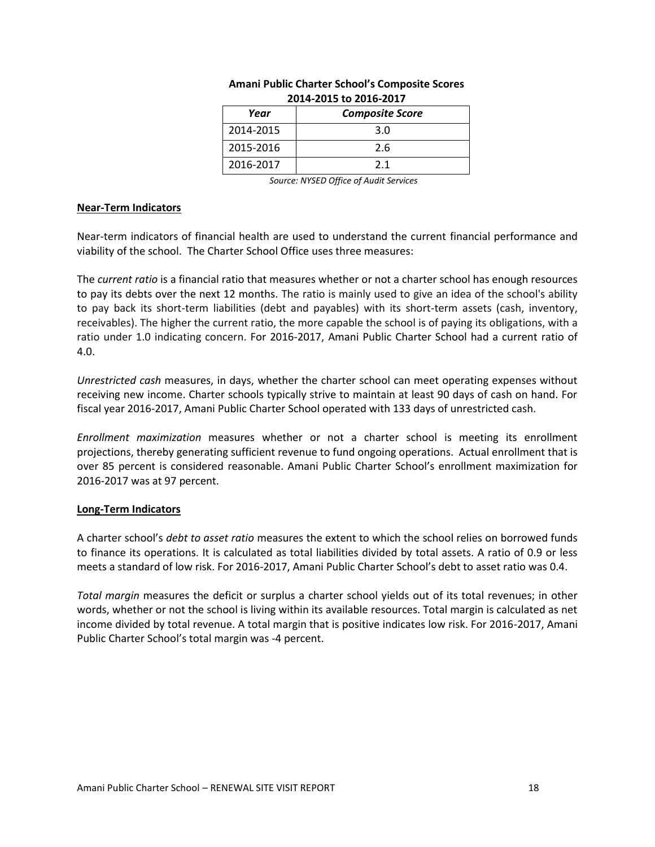| ---- ---- -- -- --- -- -- |                        |  |  |  |  |
|---------------------------|------------------------|--|--|--|--|
| Year                      | <b>Composite Score</b> |  |  |  |  |
| 2014-2015                 | 3.0                    |  |  |  |  |
| 2015-2016                 | 2.6                    |  |  |  |  |
| 2016-2017                 | 21                     |  |  |  |  |

## **Amani Public Charter School's Composite Scores 2014-2015 to 2016-2017**

*Source: NYSED Office of Audit Services*

#### **Near-Term Indicators**

Near-term indicators of financial health are used to understand the current financial performance and viability of the school. The Charter School Office uses three measures:

The *current ratio* is a financial ratio that measures whether or not a charter school has enough resources to pay its debts over the next 12 months. The ratio is mainly used to give an idea of the school's ability to pay back its short-term liabilities (debt and payables) with its short-term assets (cash, inventory, receivables). The higher the current ratio, the more capable the school is of paying its obligations, with a ratio under 1.0 indicating concern. For 2016-2017, Amani Public Charter School had a current ratio of 4.0.

*Unrestricted cash* measures, in days, whether the charter school can meet operating expenses without receiving new income. Charter schools typically strive to maintain at least 90 days of cash on hand. For fiscal year 2016-2017, Amani Public Charter School operated with 133 days of unrestricted cash.

*Enrollment maximization* measures whether or not a charter school is meeting its enrollment projections, thereby generating sufficient revenue to fund ongoing operations. Actual enrollment that is over 85 percent is considered reasonable. Amani Public Charter School's enrollment maximization for 2016-2017 was at 97 percent.

# **Long-Term Indicators**

A charter school's *debt to asset ratio* measures the extent to which the school relies on borrowed funds to finance its operations. It is calculated as total liabilities divided by total assets. A ratio of 0.9 or less meets a standard of low risk. For 2016-2017, Amani Public Charter School's debt to asset ratio was 0.4.

*Total margin* measures the deficit or surplus a charter school yields out of its total revenues; in other words, whether or not the school is living within its available resources. Total margin is calculated as net income divided by total revenue. A total margin that is positive indicates low risk. For 2016-2017, Amani Public Charter School's total margin was -4 percent.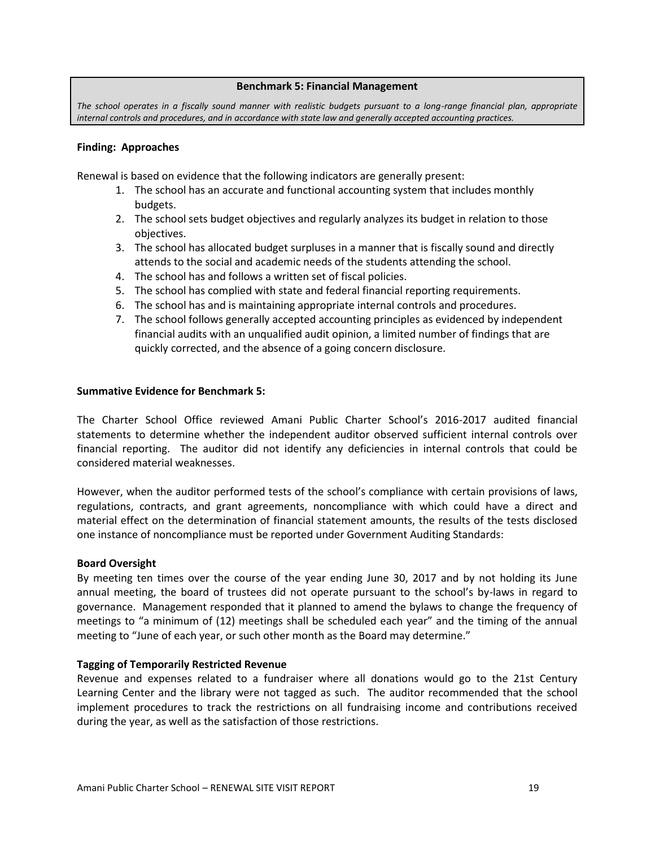#### **Benchmark 5: Financial Management**

<span id="page-19-0"></span>*The school operates in a fiscally sound manner with realistic budgets pursuant to a long-range financial plan, appropriate internal controls and procedures, and in accordance with state law and generally accepted accounting practices.*

#### **Finding: Approaches**

Renewal is based on evidence that the following indicators are generally present:

- 1. The school has an accurate and functional accounting system that includes monthly budgets.
- 2. The school sets budget objectives and regularly analyzes its budget in relation to those objectives.
- 3. The school has allocated budget surpluses in a manner that is fiscally sound and directly attends to the social and academic needs of the students attending the school.
- 4. The school has and follows a written set of fiscal policies.
- 5. The school has complied with state and federal financial reporting requirements.
- 6. The school has and is maintaining appropriate internal controls and procedures.
- 7. The school follows generally accepted accounting principles as evidenced by independent financial audits with an unqualified audit opinion, a limited number of findings that are quickly corrected, and the absence of a going concern disclosure.

#### **Summative Evidence for Benchmark 5:**

The Charter School Office reviewed Amani Public Charter School's 2016-2017 audited financial statements to determine whether the independent auditor observed sufficient internal controls over financial reporting. The auditor did not identify any deficiencies in internal controls that could be considered material weaknesses.

However, when the auditor performed tests of the school's compliance with certain provisions of laws, regulations, contracts, and grant agreements, noncompliance with which could have a direct and material effect on the determination of financial statement amounts, the results of the tests disclosed one instance of noncompliance must be reported under Government Auditing Standards:

#### **Board Oversight**

By meeting ten times over the course of the year ending June 30, 2017 and by not holding its June annual meeting, the board of trustees did not operate pursuant to the school's by-laws in regard to governance. Management responded that it planned to amend the bylaws to change the frequency of meetings to "a minimum of (12) meetings shall be scheduled each year" and the timing of the annual meeting to "June of each year, or such other month as the Board may determine."

#### **Tagging of Temporarily Restricted Revenue**

Revenue and expenses related to a fundraiser where all donations would go to the 21st Century Learning Center and the library were not tagged as such. The auditor recommended that the school implement procedures to track the restrictions on all fundraising income and contributions received during the year, as well as the satisfaction of those restrictions.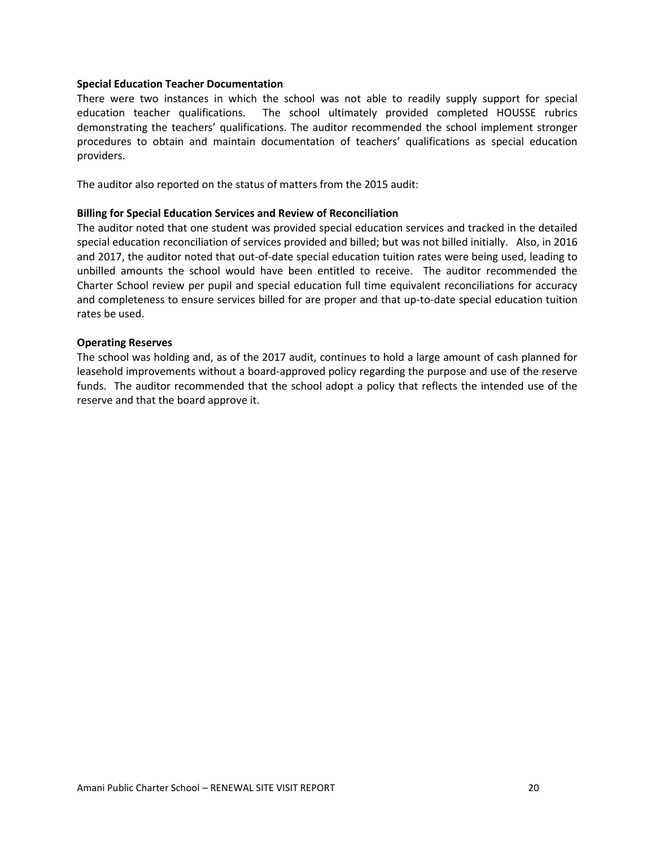#### **Special Education Teacher Documentation**

There were two instances in which the school was not able to readily supply support for special education teacher qualifications. The school ultimately provided completed HOUSSE rubrics demonstrating the teachers' qualifications. The auditor recommended the school implement stronger procedures to obtain and maintain documentation of teachers' qualifications as special education providers.

The auditor also reported on the status of matters from the 2015 audit:

#### **Billing for Special Education Services and Review of Reconciliation**

The auditor noted that one student was provided special education services and tracked in the detailed special education reconciliation of services provided and billed; but was not billed initially. Also, in 2016 and 2017, the auditor noted that out-of-date special education tuition rates were being used, leading to unbilled amounts the school would have been entitled to receive. The auditor recommended the Charter School review per pupil and special education full time equivalent reconciliations for accuracy and completeness to ensure services billed for are proper and that up-to-date special education tuition rates be used.

#### **Operating Reserves**

The school was holding and, as of the 2017 audit, continues to hold a large amount of cash planned for leasehold improvements without a board-approved policy regarding the purpose and use of the reserve funds. The auditor recommended that the school adopt a policy that reflects the intended use of the reserve and that the board approve it.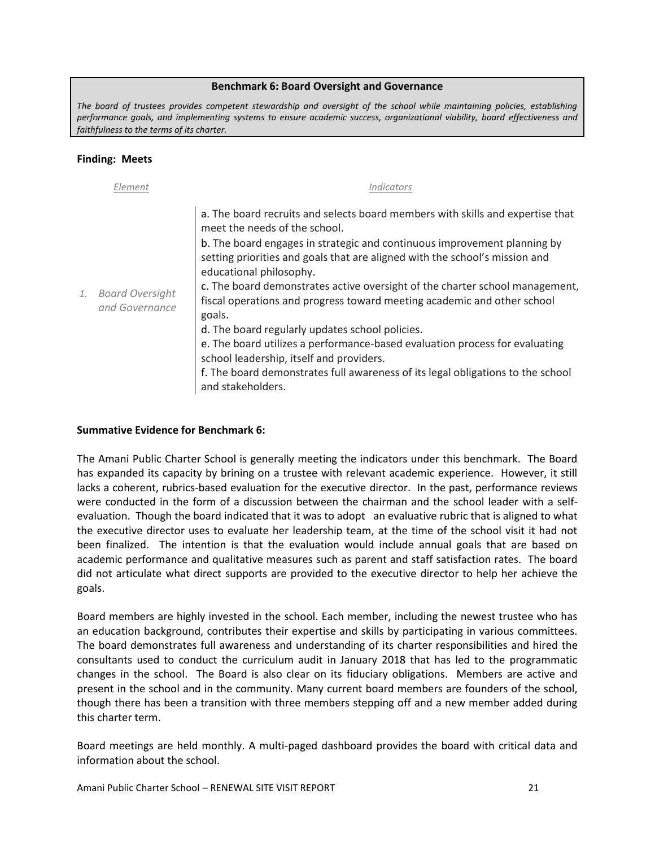#### **Benchmark 6: Board Oversight and Governance**

<span id="page-21-0"></span>*The board of trustees provides competent stewardship and oversight of the school while maintaining policies, establishing performance goals, and implementing systems to ensure academic success, organizational viability, board effectiveness and faithfulness to the terms of its charter.*

#### **Finding: Meets**

|    | Element                                  | <i>Indicators</i>                                                                                                                                                                                                                                                                                                                                                                                                                                                                                                                                                                                                                                                                                                                                                |
|----|------------------------------------------|------------------------------------------------------------------------------------------------------------------------------------------------------------------------------------------------------------------------------------------------------------------------------------------------------------------------------------------------------------------------------------------------------------------------------------------------------------------------------------------------------------------------------------------------------------------------------------------------------------------------------------------------------------------------------------------------------------------------------------------------------------------|
| 1. | <b>Board Oversight</b><br>and Governance | a. The board recruits and selects board members with skills and expertise that<br>meet the needs of the school.<br>b. The board engages in strategic and continuous improvement planning by<br>setting priorities and goals that are aligned with the school's mission and<br>educational philosophy.<br>c. The board demonstrates active oversight of the charter school management,<br>fiscal operations and progress toward meeting academic and other school<br>goals.<br>d. The board regularly updates school policies.<br>e. The board utilizes a performance-based evaluation process for evaluating<br>school leadership, itself and providers.<br>f. The board demonstrates full awareness of its legal obligations to the school<br>and stakeholders. |

# **Summative Evidence for Benchmark 6:**

The Amani Public Charter School is generally meeting the indicators under this benchmark. The Board has expanded its capacity by brining on a trustee with relevant academic experience. However, it still lacks a coherent, rubrics-based evaluation for the executive director. In the past, performance reviews were conducted in the form of a discussion between the chairman and the school leader with a selfevaluation. Though the board indicated that it was to adopt an evaluative rubric that is aligned to what the executive director uses to evaluate her leadership team, at the time of the school visit it had not been finalized. The intention is that the evaluation would include annual goals that are based on academic performance and qualitative measures such as parent and staff satisfaction rates. The board did not articulate what direct supports are provided to the executive director to help her achieve the goals.

Board members are highly invested in the school. Each member, including the newest trustee who has an education background, contributes their expertise and skills by participating in various committees. The board demonstrates full awareness and understanding of its charter responsibilities and hired the consultants used to conduct the curriculum audit in January 2018 that has led to the programmatic changes in the school. The Board is also clear on its fiduciary obligations. Members are active and present in the school and in the community. Many current board members are founders of the school, though there has been a transition with three members stepping off and a new member added during this charter term.

Board meetings are held monthly. A multi-paged dashboard provides the board with critical data and information about the school.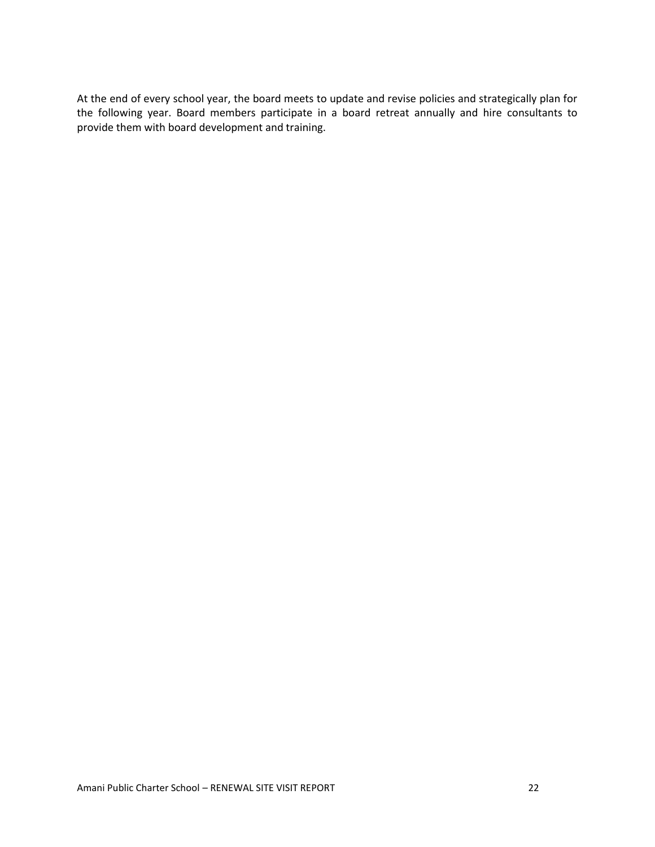At the end of every school year, the board meets to update and revise policies and strategically plan for the following year. Board members participate in a board retreat annually and hire consultants to provide them with board development and training.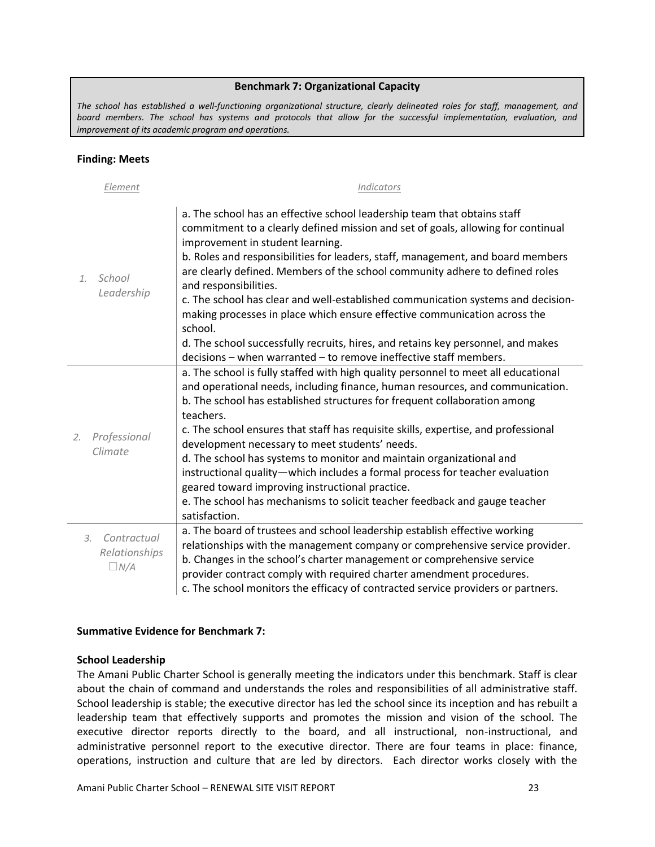#### **Benchmark 7: Organizational Capacity**

<span id="page-23-0"></span>*The school has established a well-functioning organizational structure, clearly delineated roles for staff, management, and board members. The school has systems and protocols that allow for the successful implementation, evaluation, and improvement of its academic program and operations.*

#### **Finding: Meets**

| Element                         | Indicators                                                                                                                                                                                                                                                                                                                                                                                   |
|---------------------------------|----------------------------------------------------------------------------------------------------------------------------------------------------------------------------------------------------------------------------------------------------------------------------------------------------------------------------------------------------------------------------------------------|
| School<br>1.<br>Leadership      | a. The school has an effective school leadership team that obtains staff<br>commitment to a clearly defined mission and set of goals, allowing for continual<br>improvement in student learning.<br>b. Roles and responsibilities for leaders, staff, management, and board members<br>are clearly defined. Members of the school community adhere to defined roles<br>and responsibilities. |
|                                 | c. The school has clear and well-established communication systems and decision-<br>making processes in place which ensure effective communication across the                                                                                                                                                                                                                                |
|                                 | school.                                                                                                                                                                                                                                                                                                                                                                                      |
|                                 | d. The school successfully recruits, hires, and retains key personnel, and makes                                                                                                                                                                                                                                                                                                             |
|                                 | decisions - when warranted - to remove ineffective staff members.                                                                                                                                                                                                                                                                                                                            |
|                                 | a. The school is fully staffed with high quality personnel to meet all educational                                                                                                                                                                                                                                                                                                           |
|                                 | and operational needs, including finance, human resources, and communication.                                                                                                                                                                                                                                                                                                                |
|                                 | b. The school has established structures for frequent collaboration among                                                                                                                                                                                                                                                                                                                    |
|                                 | teachers.                                                                                                                                                                                                                                                                                                                                                                                    |
| Professional<br>2.              | c. The school ensures that staff has requisite skills, expertise, and professional<br>development necessary to meet students' needs.                                                                                                                                                                                                                                                         |
| Climate                         | d. The school has systems to monitor and maintain organizational and                                                                                                                                                                                                                                                                                                                         |
|                                 | instructional quality-which includes a formal process for teacher evaluation                                                                                                                                                                                                                                                                                                                 |
|                                 | geared toward improving instructional practice.                                                                                                                                                                                                                                                                                                                                              |
|                                 | e. The school has mechanisms to solicit teacher feedback and gauge teacher                                                                                                                                                                                                                                                                                                                   |
|                                 | satisfaction.                                                                                                                                                                                                                                                                                                                                                                                |
| Contractual<br>$\mathfrak{Z}$ . | a. The board of trustees and school leadership establish effective working                                                                                                                                                                                                                                                                                                                   |
| Relationships                   | relationships with the management company or comprehensive service provider.                                                                                                                                                                                                                                                                                                                 |
| $\Box N/A$                      | b. Changes in the school's charter management or comprehensive service                                                                                                                                                                                                                                                                                                                       |
|                                 | provider contract comply with required charter amendment procedures.                                                                                                                                                                                                                                                                                                                         |
|                                 | c. The school monitors the efficacy of contracted service providers or partners.                                                                                                                                                                                                                                                                                                             |

#### **Summative Evidence for Benchmark 7:**

#### **School Leadership**

The Amani Public Charter School is generally meeting the indicators under this benchmark. Staff is clear about the chain of command and understands the roles and responsibilities of all administrative staff. School leadership is stable; the executive director has led the school since its inception and has rebuilt a leadership team that effectively supports and promotes the mission and vision of the school. The executive director reports directly to the board, and all instructional, non-instructional, and administrative personnel report to the executive director. There are four teams in place: finance, operations, instruction and culture that are led by directors. Each director works closely with the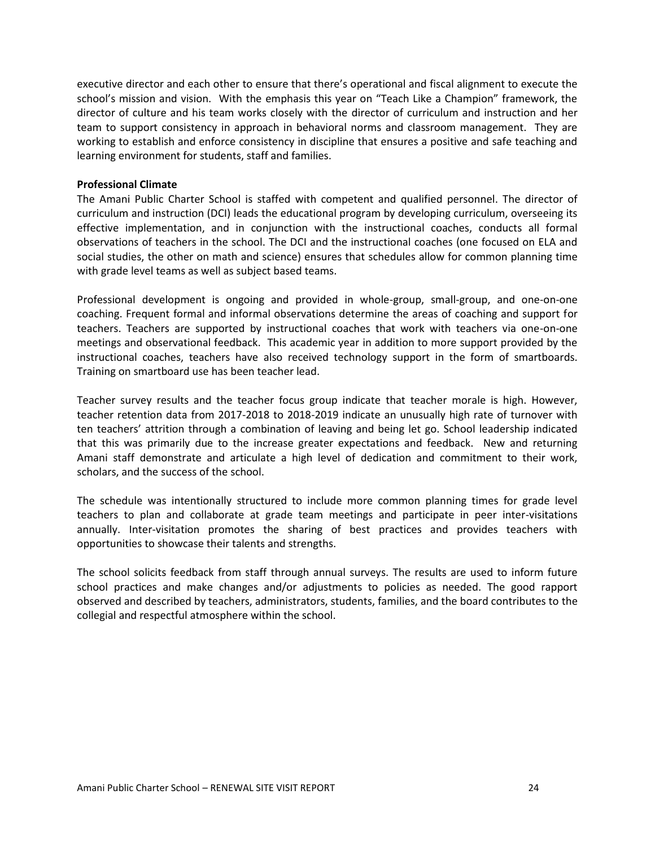executive director and each other to ensure that there's operational and fiscal alignment to execute the school's mission and vision. With the emphasis this year on "Teach Like a Champion" framework, the director of culture and his team works closely with the director of curriculum and instruction and her team to support consistency in approach in behavioral norms and classroom management. They are working to establish and enforce consistency in discipline that ensures a positive and safe teaching and learning environment for students, staff and families.

#### **Professional Climate**

The Amani Public Charter School is staffed with competent and qualified personnel. The director of curriculum and instruction (DCI) leads the educational program by developing curriculum, overseeing its effective implementation, and in conjunction with the instructional coaches, conducts all formal observations of teachers in the school. The DCI and the instructional coaches (one focused on ELA and social studies, the other on math and science) ensures that schedules allow for common planning time with grade level teams as well as subject based teams.

Professional development is ongoing and provided in whole-group, small-group, and one-on-one coaching. Frequent formal and informal observations determine the areas of coaching and support for teachers. Teachers are supported by instructional coaches that work with teachers via one-on-one meetings and observational feedback. This academic year in addition to more support provided by the instructional coaches, teachers have also received technology support in the form of smartboards. Training on smartboard use has been teacher lead.

Teacher survey results and the teacher focus group indicate that teacher morale is high. However, teacher retention data from 2017-2018 to 2018-2019 indicate an unusually high rate of turnover with ten teachers' attrition through a combination of leaving and being let go. School leadership indicated that this was primarily due to the increase greater expectations and feedback. New and returning Amani staff demonstrate and articulate a high level of dedication and commitment to their work, scholars, and the success of the school.

The schedule was intentionally structured to include more common planning times for grade level teachers to plan and collaborate at grade team meetings and participate in peer inter-visitations annually. Inter-visitation promotes the sharing of best practices and provides teachers with opportunities to showcase their talents and strengths.

The school solicits feedback from staff through annual surveys. The results are used to inform future school practices and make changes and/or adjustments to policies as needed. The good rapport observed and described by teachers, administrators, students, families, and the board contributes to the collegial and respectful atmosphere within the school.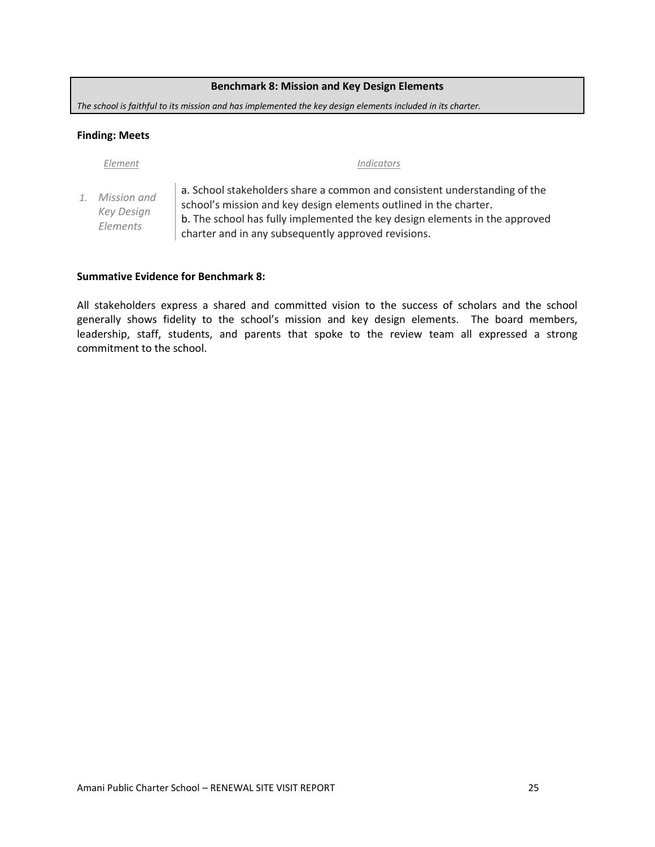#### **Benchmark 8: Mission and Key Design Elements**

<span id="page-25-0"></span>*The school is faithful to its mission and has implemented the key design elements included in its charter.*

#### **Finding: Meets**

*1. Mission and Key Design Elements*

#### *Element Indicators*

a. School stakeholders share a common and consistent understanding of the school's mission and key design elements outlined in the charter. b. The school has fully implemented the key design elements in the approved charter and in any subsequently approved revisions.

#### **Summative Evidence for Benchmark 8:**

All stakeholders express a shared and committed vision to the success of scholars and the school generally shows fidelity to the school's mission and key design elements. The board members, leadership, staff, students, and parents that spoke to the review team all expressed a strong commitment to the school.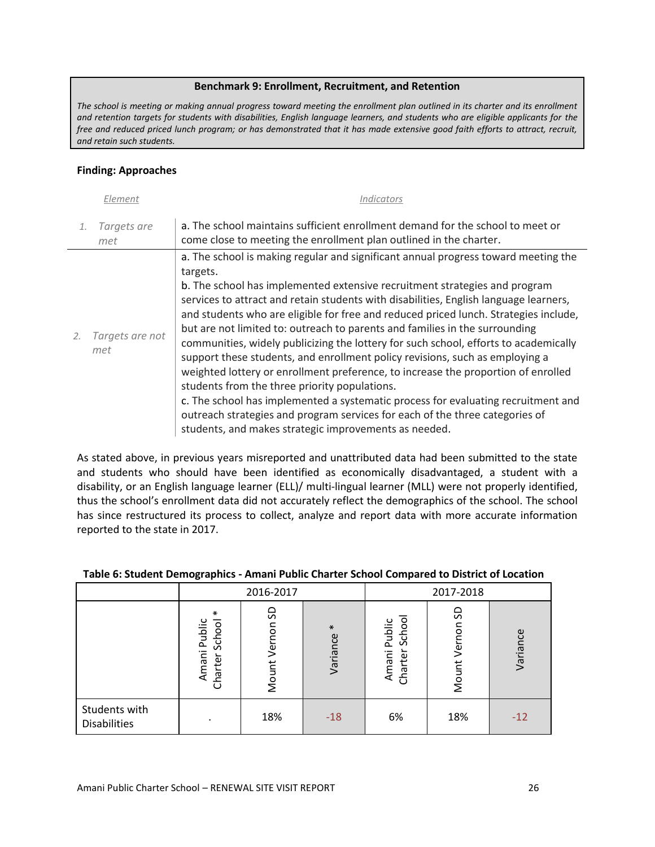#### **Benchmark 9: Enrollment, Recruitment, and Retention**

<span id="page-26-0"></span>*The school is meeting or making annual progress toward meeting the enrollment plan outlined in its charter and its enrollment and retention targets for students with disabilities, English language learners, and students who are eligible applicants for the free and reduced priced lunch program; or has demonstrated that it has made extensive good faith efforts to attract, recruit, and retain such students.*

# **Finding: Approaches**

|    | Element                | Indicators                                                                                                                                                                                                                                                                                                                                                                                                                                                                                                                                                                                                                                                                                                                                                                                                                                                                                                                                                                               |
|----|------------------------|------------------------------------------------------------------------------------------------------------------------------------------------------------------------------------------------------------------------------------------------------------------------------------------------------------------------------------------------------------------------------------------------------------------------------------------------------------------------------------------------------------------------------------------------------------------------------------------------------------------------------------------------------------------------------------------------------------------------------------------------------------------------------------------------------------------------------------------------------------------------------------------------------------------------------------------------------------------------------------------|
|    | Targets are<br>met     | a. The school maintains sufficient enrollment demand for the school to meet or<br>come close to meeting the enrollment plan outlined in the charter.                                                                                                                                                                                                                                                                                                                                                                                                                                                                                                                                                                                                                                                                                                                                                                                                                                     |
| 2. | Targets are not<br>met | a. The school is making regular and significant annual progress toward meeting the<br>targets.<br>b. The school has implemented extensive recruitment strategies and program<br>services to attract and retain students with disabilities, English language learners,<br>and students who are eligible for free and reduced priced lunch. Strategies include,<br>but are not limited to: outreach to parents and families in the surrounding<br>communities, widely publicizing the lottery for such school, efforts to academically<br>support these students, and enrollment policy revisions, such as employing a<br>weighted lottery or enrollment preference, to increase the proportion of enrolled<br>students from the three priority populations.<br>c. The school has implemented a systematic process for evaluating recruitment and<br>outreach strategies and program services for each of the three categories of<br>students, and makes strategic improvements as needed. |

As stated above, in previous years misreported and unattributed data had been submitted to the state and students who should have been identified as economically disadvantaged, a student with a disability, or an English language learner (ELL)/ multi-lingual learner (MLL) were not properly identified, thus the school's enrollment data did not accurately reflect the demographics of the school. The school has since restructured its process to collect, analyze and report data with more accurate information reported to the state in 2017.

|                                      |                                             | 2016-2017            |                    |                                      | 2017-2018           |          |  |
|--------------------------------------|---------------------------------------------|----------------------|--------------------|--------------------------------------|---------------------|----------|--|
|                                      | $\ast$<br>Amani Public<br>School<br>Charter | S<br>Vernon<br>Mount | $\ast$<br>Variance | School<br>Public<br>Charter<br>Amani | S<br>Verno<br>Mount | Variance |  |
| Students with<br><b>Disabilities</b> |                                             | 18%                  | $-18$              | 6%                                   | 18%                 | $-12$    |  |

# **Table 6: Student Demographics - Amani Public Charter School Compared to District of Location**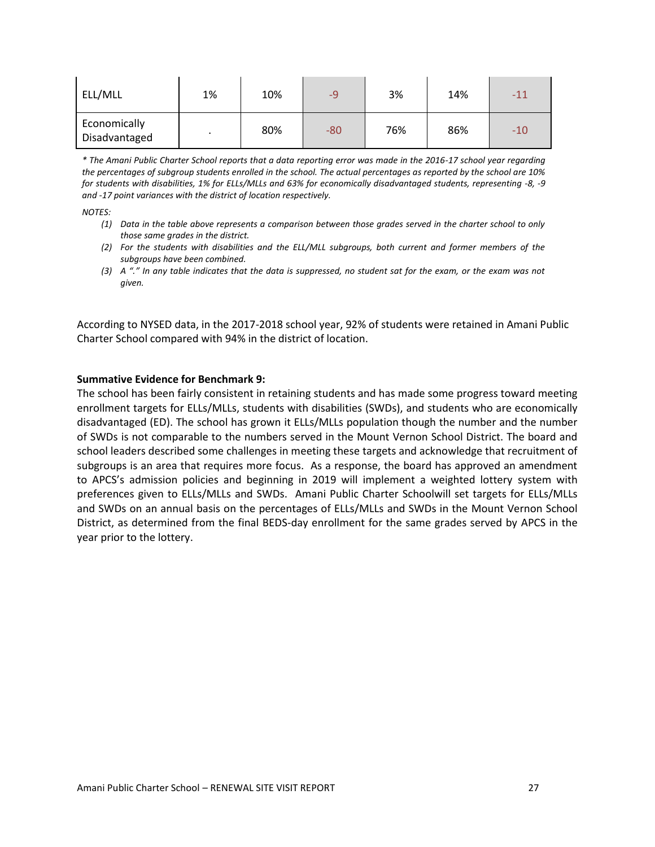| ELL/MLL                       | 1% | 10% | $-9$  | 3%  | 14% | $-11$ |
|-------------------------------|----|-----|-------|-----|-----|-------|
| Economically<br>Disadvantaged |    | 80% | $-80$ | 76% | 86% | -10   |

*\* The Amani Public Charter School reports that a data reporting error was made in the 2016-17 school year regarding the percentages of subgroup students enrolled in the school. The actual percentages as reported by the school are 10% for students with disabilities, 1% for ELLs/MLLs and 63% for economically disadvantaged students, representing -8, -9 and -17 point variances with the district of location respectively.* 

*NOTES:*

- *(1) Data in the table above represents a comparison between those grades served in the charter school to only those same grades in the district.*
- *(2) For the students with disabilities and the ELL/MLL subgroups, both current and former members of the subgroups have been combined.*
- *(3) A "." In any table indicates that the data is suppressed, no student sat for the exam, or the exam was not given.*

According to NYSED data, in the 2017-2018 school year, 92% of students were retained in Amani Public Charter School compared with 94% in the district of location.

#### **Summative Evidence for Benchmark 9:**

The school has been fairly consistent in retaining students and has made some progress toward meeting enrollment targets for ELLs/MLLs, students with disabilities (SWDs), and students who are economically disadvantaged (ED). The school has grown it ELLs/MLLs population though the number and the number of SWDs is not comparable to the numbers served in the Mount Vernon School District. The board and school leaders described some challenges in meeting these targets and acknowledge that recruitment of subgroups is an area that requires more focus. As a response, the board has approved an amendment to APCS's admission policies and beginning in 2019 will implement a weighted lottery system with preferences given to ELLs/MLLs and SWDs. Amani Public Charter Schoolwill set targets for ELLs/MLLs and SWDs on an annual basis on the percentages of ELLs/MLLs and SWDs in the Mount Vernon School District, as determined from the final BEDS-day enrollment for the same grades served by APCS in the year prior to the lottery.